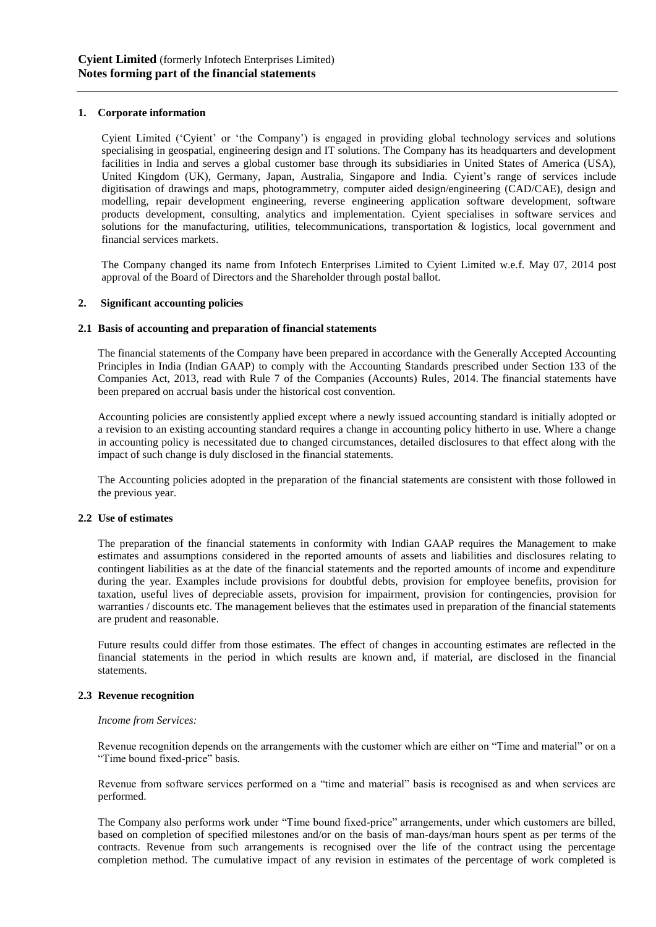# **1. Corporate information**

Cyient Limited ('Cyient' or 'the Company') is engaged in providing global technology services and solutions specialising in geospatial, engineering design and IT solutions. The Company has its headquarters and development facilities in India and serves a global customer base through its subsidiaries in United States of America (USA), United Kingdom (UK), Germany, Japan, Australia, Singapore and India. Cyient's range of services include digitisation of drawings and maps, photogrammetry, computer aided design/engineering (CAD/CAE), design and modelling, repair development engineering, reverse engineering application software development, software products development, consulting, analytics and implementation. Cyient specialises in software services and solutions for the manufacturing, utilities, telecommunications, transportation & logistics, local government and financial services markets.

The Company changed its name from Infotech Enterprises Limited to Cyient Limited w.e.f. May 07, 2014 post approval of the Board of Directors and the Shareholder through postal ballot.

## **2. Significant accounting policies**

## **2.1 Basis of accounting and preparation of financial statements**

The financial statements of the Company have been prepared in accordance with the Generally Accepted Accounting Principles in India (Indian GAAP) to comply with the Accounting Standards prescribed under Section 133 of the Companies Act, 2013, read with Rule 7 of the Companies (Accounts) Rules, 2014. The financial statements have been prepared on accrual basis under the historical cost convention.

Accounting policies are consistently applied except where a newly issued accounting standard is initially adopted or a revision to an existing accounting standard requires a change in accounting policy hitherto in use. Where a change in accounting policy is necessitated due to changed circumstances, detailed disclosures to that effect along with the impact of such change is duly disclosed in the financial statements.

The Accounting policies adopted in the preparation of the financial statements are consistent with those followed in the previous year.

#### **2.2 Use of estimates**

The preparation of the financial statements in conformity with Indian GAAP requires the Management to make estimates and assumptions considered in the reported amounts of assets and liabilities and disclosures relating to contingent liabilities as at the date of the financial statements and the reported amounts of income and expenditure during the year. Examples include provisions for doubtful debts, provision for employee benefits, provision for taxation, useful lives of depreciable assets, provision for impairment, provision for contingencies, provision for warranties / discounts etc. The management believes that the estimates used in preparation of the financial statements are prudent and reasonable.

Future results could differ from those estimates. The effect of changes in accounting estimates are reflected in the financial statements in the period in which results are known and, if material, are disclosed in the financial statements.

## **2.3 Revenue recognition**

#### *Income from Services:*

Revenue recognition depends on the arrangements with the customer which are either on "Time and material" or on a "Time bound fixed-price" basis.

Revenue from software services performed on a "time and material" basis is recognised as and when services are performed.

The Company also performs work under "Time bound fixed-price" arrangements, under which customers are billed, based on completion of specified milestones and/or on the basis of man-days/man hours spent as per terms of the contracts. Revenue from such arrangements is recognised over the life of the contract using the percentage completion method. The cumulative impact of any revision in estimates of the percentage of work completed is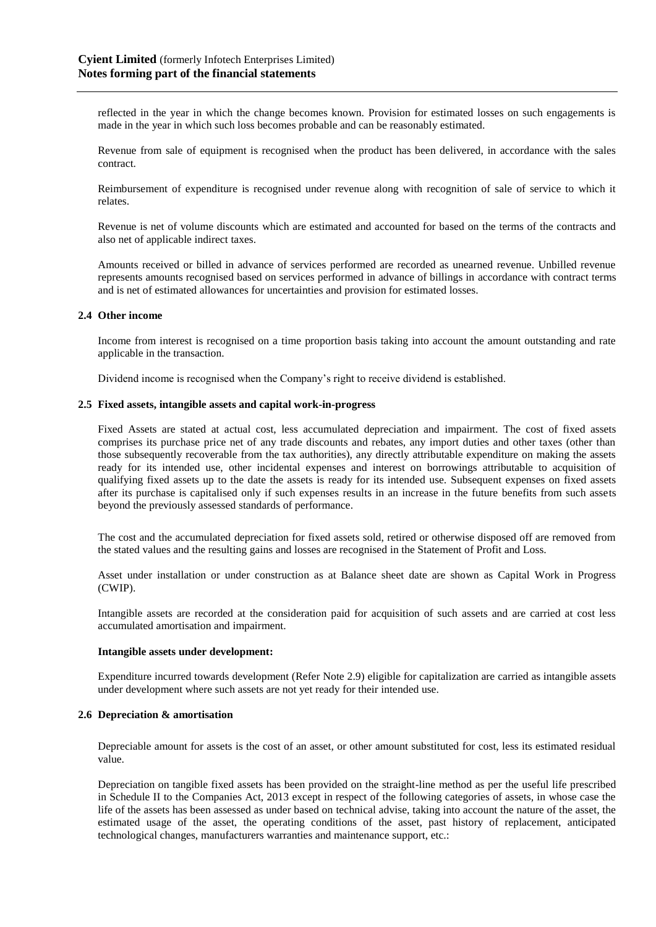reflected in the year in which the change becomes known. Provision for estimated losses on such engagements is made in the year in which such loss becomes probable and can be reasonably estimated.

Revenue from sale of equipment is recognised when the product has been delivered, in accordance with the sales contract.

Reimbursement of expenditure is recognised under revenue along with recognition of sale of service to which it relates.

Revenue is net of volume discounts which are estimated and accounted for based on the terms of the contracts and also net of applicable indirect taxes.

Amounts received or billed in advance of services performed are recorded as unearned revenue. Unbilled revenue represents amounts recognised based on services performed in advance of billings in accordance with contract terms and is net of estimated allowances for uncertainties and provision for estimated losses.

## **2.4 Other income**

Income from interest is recognised on a time proportion basis taking into account the amount outstanding and rate applicable in the transaction.

Dividend income is recognised when the Company's right to receive dividend is established.

#### **2.5 Fixed assets, intangible assets and capital work-in-progress**

Fixed Assets are stated at actual cost, less accumulated depreciation and impairment. The cost of fixed assets comprises its purchase price net of any trade discounts and rebates, any import duties and other taxes (other than those subsequently recoverable from the tax authorities), any directly attributable expenditure on making the assets ready for its intended use, other incidental expenses and interest on borrowings attributable to acquisition of qualifying fixed assets up to the date the assets is ready for its intended use. Subsequent expenses on fixed assets after its purchase is capitalised only if such expenses results in an increase in the future benefits from such assets beyond the previously assessed standards of performance.

The cost and the accumulated depreciation for fixed assets sold, retired or otherwise disposed off are removed from the stated values and the resulting gains and losses are recognised in the Statement of Profit and Loss.

Asset under installation or under construction as at Balance sheet date are shown as Capital Work in Progress (CWIP).

Intangible assets are recorded at the consideration paid for acquisition of such assets and are carried at cost less accumulated amortisation and impairment.

#### **Intangible assets under development:**

Expenditure incurred towards development (Refer Note 2.9) eligible for capitalization are carried as intangible assets under development where such assets are not yet ready for their intended use.

#### **2.6 Depreciation & amortisation**

Depreciable amount for assets is the cost of an asset, or other amount substituted for cost, less its estimated residual value.

Depreciation on tangible fixed assets has been provided on the straight-line method as per the useful life prescribed in Schedule II to the Companies Act, 2013 except in respect of the following categories of assets, in whose case the life of the assets has been assessed as under based on technical advise, taking into account the nature of the asset, the estimated usage of the asset, the operating conditions of the asset, past history of replacement, anticipated technological changes, manufacturers warranties and maintenance support, etc.: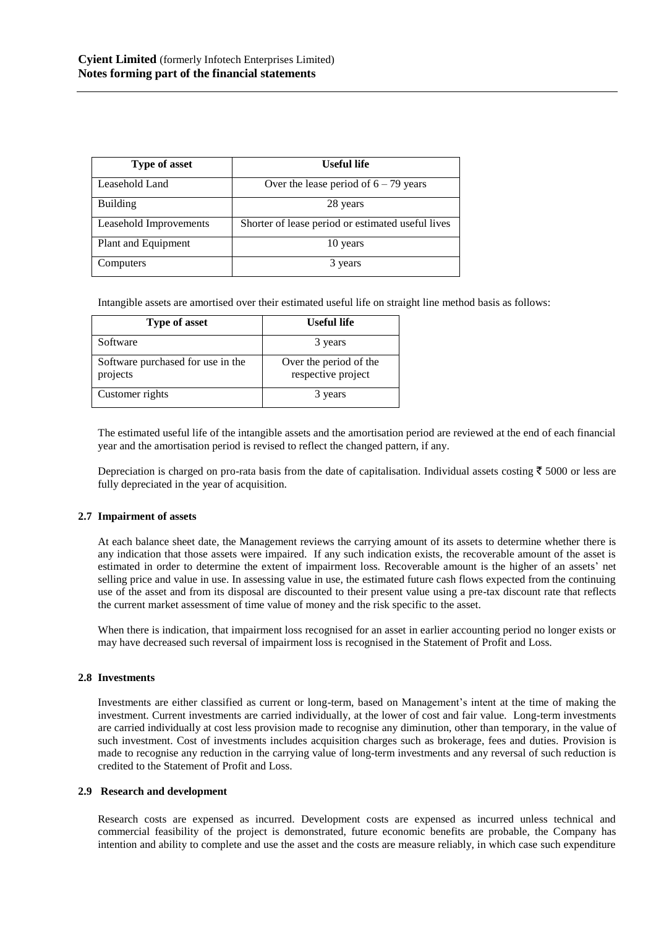| <b>Type of asset</b>   | <b>Useful life</b>                                |
|------------------------|---------------------------------------------------|
| Leasehold Land         | Over the lease period of $6 - 79$ years           |
| <b>Building</b>        | 28 years                                          |
| Leasehold Improvements | Shorter of lease period or estimated useful lives |
| Plant and Equipment    | 10 years                                          |
| Computers              | 3 years                                           |

Intangible assets are amortised over their estimated useful life on straight line method basis as follows:

| <b>Type of asset</b>                          | <b>Useful life</b>                           |
|-----------------------------------------------|----------------------------------------------|
| Software                                      | 3 years                                      |
| Software purchased for use in the<br>projects | Over the period of the<br>respective project |
| Customer rights                               | 3 years                                      |

The estimated useful life of the intangible assets and the amortisation period are reviewed at the end of each financial year and the amortisation period is revised to reflect the changed pattern, if any.

Depreciation is charged on pro-rata basis from the date of capitalisation. Individual assets costing  $\bar{\tau}$  5000 or less are fully depreciated in the year of acquisition.

# **2.7 Impairment of assets**

At each balance sheet date, the Management reviews the carrying amount of its assets to determine whether there is any indication that those assets were impaired. If any such indication exists, the recoverable amount of the asset is estimated in order to determine the extent of impairment loss. Recoverable amount is the higher of an assets' net selling price and value in use. In assessing value in use, the estimated future cash flows expected from the continuing use of the asset and from its disposal are discounted to their present value using a pre-tax discount rate that reflects the current market assessment of time value of money and the risk specific to the asset.

When there is indication, that impairment loss recognised for an asset in earlier accounting period no longer exists or may have decreased such reversal of impairment loss is recognised in the Statement of Profit and Loss.

#### **2.8 Investments**

Investments are either classified as current or long-term, based on Management's intent at the time of making the investment. Current investments are carried individually, at the lower of cost and fair value. Long-term investments are carried individually at cost less provision made to recognise any diminution, other than temporary, in the value of such investment. Cost of investments includes acquisition charges such as brokerage, fees and duties. Provision is made to recognise any reduction in the carrying value of long-term investments and any reversal of such reduction is credited to the Statement of Profit and Loss.

## **2.9 Research and development**

Research costs are expensed as incurred. Development costs are expensed as incurred unless technical and commercial feasibility of the project is demonstrated, future economic benefits are probable, the Company has intention and ability to complete and use the asset and the costs are measure reliably, in which case such expenditure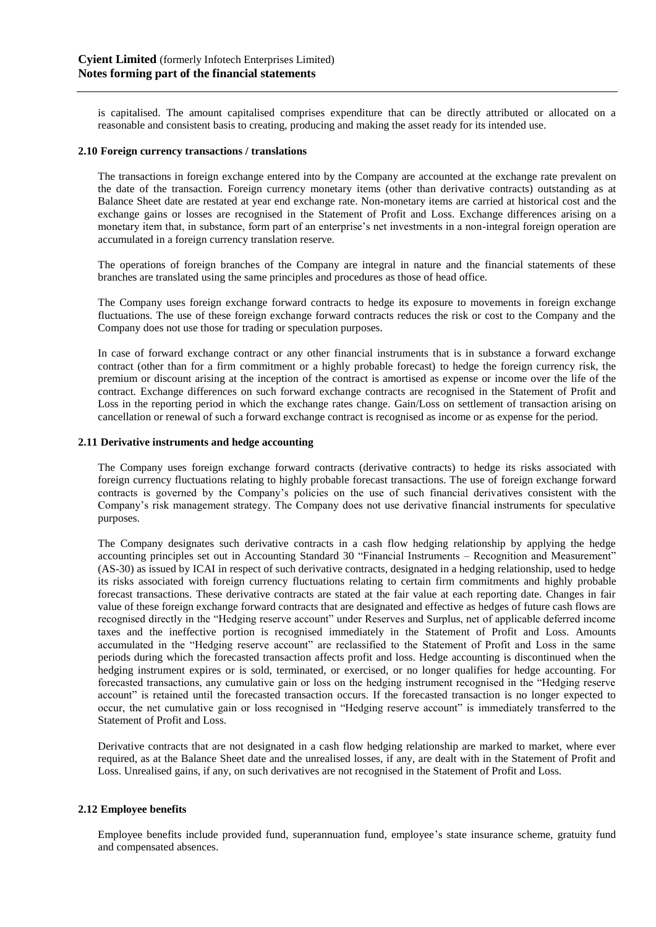is capitalised. The amount capitalised comprises expenditure that can be directly attributed or allocated on a reasonable and consistent basis to creating, producing and making the asset ready for its intended use.

## **2.10 Foreign currency transactions / translations**

The transactions in foreign exchange entered into by the Company are accounted at the exchange rate prevalent on the date of the transaction. Foreign currency monetary items (other than derivative contracts) outstanding as at Balance Sheet date are restated at year end exchange rate. Non-monetary items are carried at historical cost and the exchange gains or losses are recognised in the Statement of Profit and Loss. Exchange differences arising on a monetary item that, in substance, form part of an enterprise's net investments in a non-integral foreign operation are accumulated in a foreign currency translation reserve.

The operations of foreign branches of the Company are integral in nature and the financial statements of these branches are translated using the same principles and procedures as those of head office.

The Company uses foreign exchange forward contracts to hedge its exposure to movements in foreign exchange fluctuations. The use of these foreign exchange forward contracts reduces the risk or cost to the Company and the Company does not use those for trading or speculation purposes.

In case of forward exchange contract or any other financial instruments that is in substance a forward exchange contract (other than for a firm commitment or a highly probable forecast) to hedge the foreign currency risk, the premium or discount arising at the inception of the contract is amortised as expense or income over the life of the contract. Exchange differences on such forward exchange contracts are recognised in the Statement of Profit and Loss in the reporting period in which the exchange rates change. Gain/Loss on settlement of transaction arising on cancellation or renewal of such a forward exchange contract is recognised as income or as expense for the period.

## **2.11 Derivative instruments and hedge accounting**

The Company uses foreign exchange forward contracts (derivative contracts) to hedge its risks associated with foreign currency fluctuations relating to highly probable forecast transactions. The use of foreign exchange forward contracts is governed by the Company's policies on the use of such financial derivatives consistent with the Company's risk management strategy. The Company does not use derivative financial instruments for speculative purposes.

The Company designates such derivative contracts in a cash flow hedging relationship by applying the hedge accounting principles set out in Accounting Standard 30 "Financial Instruments – Recognition and Measurement" (AS-30) as issued by ICAI in respect of such derivative contracts, designated in a hedging relationship, used to hedge its risks associated with foreign currency fluctuations relating to certain firm commitments and highly probable forecast transactions. These derivative contracts are stated at the fair value at each reporting date. Changes in fair value of these foreign exchange forward contracts that are designated and effective as hedges of future cash flows are recognised directly in the "Hedging reserve account" under Reserves and Surplus, net of applicable deferred income taxes and the ineffective portion is recognised immediately in the Statement of Profit and Loss. Amounts accumulated in the "Hedging reserve account" are reclassified to the Statement of Profit and Loss in the same periods during which the forecasted transaction affects profit and loss. Hedge accounting is discontinued when the hedging instrument expires or is sold, terminated, or exercised, or no longer qualifies for hedge accounting. For forecasted transactions, any cumulative gain or loss on the hedging instrument recognised in the "Hedging reserve account" is retained until the forecasted transaction occurs. If the forecasted transaction is no longer expected to occur, the net cumulative gain or loss recognised in "Hedging reserve account" is immediately transferred to the Statement of Profit and Loss.

Derivative contracts that are not designated in a cash flow hedging relationship are marked to market, where ever required, as at the Balance Sheet date and the unrealised losses, if any, are dealt with in the Statement of Profit and Loss. Unrealised gains, if any, on such derivatives are not recognised in the Statement of Profit and Loss.

# **2.12 Employee benefits**

Employee benefits include provided fund, superannuation fund, employee's state insurance scheme, gratuity fund and compensated absences.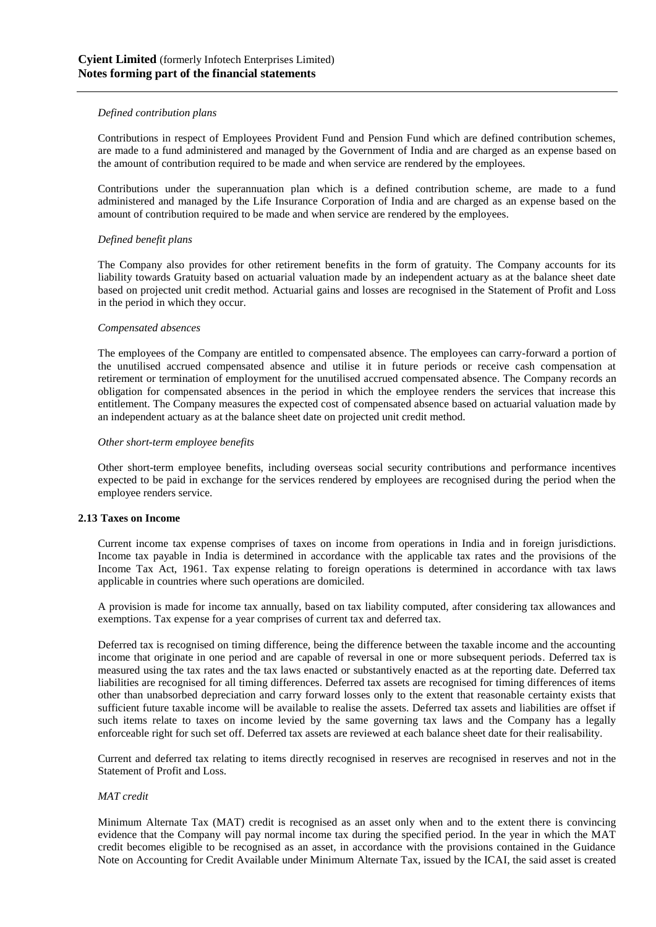## *Defined contribution plans*

Contributions in respect of Employees Provident Fund and Pension Fund which are defined contribution schemes, are made to a fund administered and managed by the Government of India and are charged as an expense based on the amount of contribution required to be made and when service are rendered by the employees.

Contributions under the superannuation plan which is a defined contribution scheme, are made to a fund administered and managed by the Life Insurance Corporation of India and are charged as an expense based on the amount of contribution required to be made and when service are rendered by the employees.

## *Defined benefit plans*

The Company also provides for other retirement benefits in the form of gratuity. The Company accounts for its liability towards Gratuity based on actuarial valuation made by an independent actuary as at the balance sheet date based on projected unit credit method. Actuarial gains and losses are recognised in the Statement of Profit and Loss in the period in which they occur.

#### *Compensated absences*

The employees of the Company are entitled to compensated absence. The employees can carry-forward a portion of the unutilised accrued compensated absence and utilise it in future periods or receive cash compensation at retirement or termination of employment for the unutilised accrued compensated absence. The Company records an obligation for compensated absences in the period in which the employee renders the services that increase this entitlement. The Company measures the expected cost of compensated absence based on actuarial valuation made by an independent actuary as at the balance sheet date on projected unit credit method.

#### *Other short-term employee benefits*

Other short-term employee benefits, including overseas social security contributions and performance incentives expected to be paid in exchange for the services rendered by employees are recognised during the period when the employee renders service.

#### **2.13 Taxes on Income**

Current income tax expense comprises of taxes on income from operations in India and in foreign jurisdictions. Income tax payable in India is determined in accordance with the applicable tax rates and the provisions of the Income Tax Act, 1961. Tax expense relating to foreign operations is determined in accordance with tax laws applicable in countries where such operations are domiciled.

A provision is made for income tax annually, based on tax liability computed, after considering tax allowances and exemptions. Tax expense for a year comprises of current tax and deferred tax.

Deferred tax is recognised on timing difference, being the difference between the taxable income and the accounting income that originate in one period and are capable of reversal in one or more subsequent periods. Deferred tax is measured using the tax rates and the tax laws enacted or substantively enacted as at the reporting date. Deferred tax liabilities are recognised for all timing differences. Deferred tax assets are recognised for timing differences of items other than unabsorbed depreciation and carry forward losses only to the extent that reasonable certainty exists that sufficient future taxable income will be available to realise the assets. Deferred tax assets and liabilities are offset if such items relate to taxes on income levied by the same governing tax laws and the Company has a legally enforceable right for such set off. Deferred tax assets are reviewed at each balance sheet date for their realisability.

Current and deferred tax relating to items directly recognised in reserves are recognised in reserves and not in the Statement of Profit and Loss.

# *MAT credit*

Minimum Alternate Tax (MAT) credit is recognised as an asset only when and to the extent there is convincing evidence that the Company will pay normal income tax during the specified period. In the year in which the MAT credit becomes eligible to be recognised as an asset, in accordance with the provisions contained in the Guidance Note on Accounting for Credit Available under Minimum Alternate Tax, issued by the ICAI, the said asset is created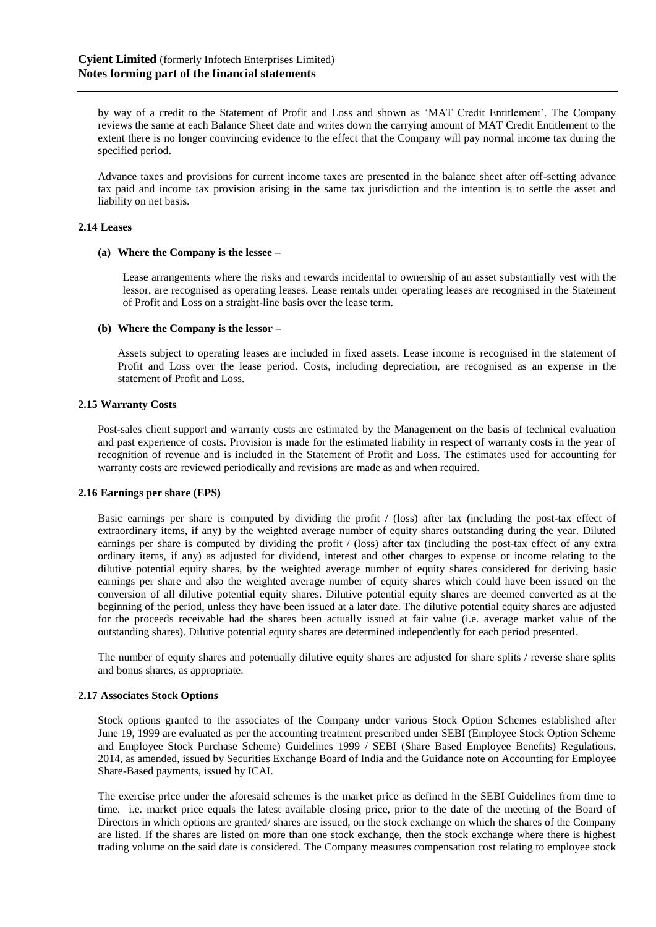by way of a credit to the Statement of Profit and Loss and shown as 'MAT Credit Entitlement'. The Company reviews the same at each Balance Sheet date and writes down the carrying amount of MAT Credit Entitlement to the extent there is no longer convincing evidence to the effect that the Company will pay normal income tax during the specified period.

Advance taxes and provisions for current income taxes are presented in the balance sheet after off-setting advance tax paid and income tax provision arising in the same tax jurisdiction and the intention is to settle the asset and liability on net basis.

## **2.14 Leases**

#### **(a) Where the Company is the lessee –**

Lease arrangements where the risks and rewards incidental to ownership of an asset substantially vest with the lessor, are recognised as operating leases. Lease rentals under operating leases are recognised in the Statement of Profit and Loss on a straight-line basis over the lease term.

#### **(b) Where the Company is the lessor –**

Assets subject to operating leases are included in fixed assets. Lease income is recognised in the statement of Profit and Loss over the lease period. Costs, including depreciation, are recognised as an expense in the statement of Profit and Loss.

#### **2.15 Warranty Costs**

Post-sales client support and warranty costs are estimated by the Management on the basis of technical evaluation and past experience of costs. Provision is made for the estimated liability in respect of warranty costs in the year of recognition of revenue and is included in the Statement of Profit and Loss. The estimates used for accounting for warranty costs are reviewed periodically and revisions are made as and when required.

#### **2.16 Earnings per share (EPS)**

Basic earnings per share is computed by dividing the profit / (loss) after tax (including the post-tax effect of extraordinary items, if any) by the weighted average number of equity shares outstanding during the year. Diluted earnings per share is computed by dividing the profit / (loss) after tax (including the post-tax effect of any extra ordinary items, if any) as adjusted for dividend, interest and other charges to expense or income relating to the dilutive potential equity shares, by the weighted average number of equity shares considered for deriving basic earnings per share and also the weighted average number of equity shares which could have been issued on the conversion of all dilutive potential equity shares. Dilutive potential equity shares are deemed converted as at the beginning of the period, unless they have been issued at a later date. The dilutive potential equity shares are adjusted for the proceeds receivable had the shares been actually issued at fair value (i.e. average market value of the outstanding shares). Dilutive potential equity shares are determined independently for each period presented.

The number of equity shares and potentially dilutive equity shares are adjusted for share splits / reverse share splits and bonus shares, as appropriate.

#### **2.17 Associates Stock Options**

Stock options granted to the associates of the Company under various Stock Option Schemes established after June 19, 1999 are evaluated as per the accounting treatment prescribed under SEBI (Employee Stock Option Scheme and Employee Stock Purchase Scheme) Guidelines 1999 / SEBI (Share Based Employee Benefits) Regulations, 2014, as amended, issued by Securities Exchange Board of India and the Guidance note on Accounting for Employee Share-Based payments, issued by ICAI.

The exercise price under the aforesaid schemes is the market price as defined in the SEBI Guidelines from time to time. i.e. market price equals the latest available closing price, prior to the date of the meeting of the Board of Directors in which options are granted/ shares are issued, on the stock exchange on which the shares of the Company are listed. If the shares are listed on more than one stock exchange, then the stock exchange where there is highest trading volume on the said date is considered. The Company measures compensation cost relating to employee stock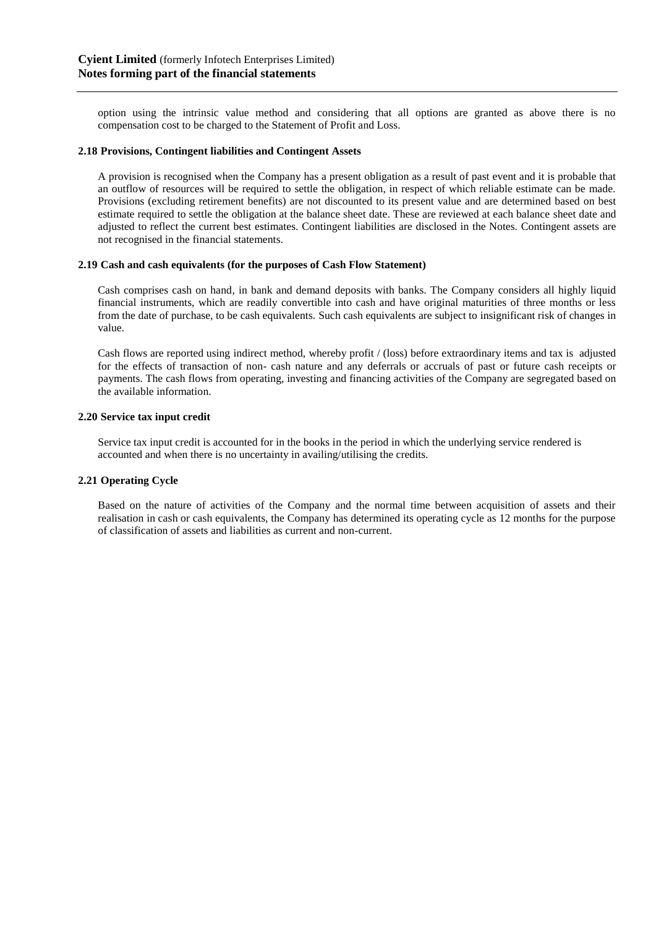option using the intrinsic value method and considering that all options are granted as above there is no compensation cost to be charged to the Statement of Profit and Loss.

# **2.18 Provisions, Contingent liabilities and Contingent Assets**

A provision is recognised when the Company has a present obligation as a result of past event and it is probable that an outflow of resources will be required to settle the obligation, in respect of which reliable estimate can be made. Provisions (excluding retirement benefits) are not discounted to its present value and are determined based on best estimate required to settle the obligation at the balance sheet date. These are reviewed at each balance sheet date and adjusted to reflect the current best estimates. Contingent liabilities are disclosed in the Notes. Contingent assets are not recognised in the financial statements.

#### **2.19 Cash and cash equivalents (for the purposes of Cash Flow Statement)**

Cash comprises cash on hand, in bank and demand deposits with banks. The Company considers all highly liquid financial instruments, which are readily convertible into cash and have original maturities of three months or less from the date of purchase, to be cash equivalents. Such cash equivalents are subject to insignificant risk of changes in value.

Cash flows are reported using indirect method, whereby profit / (loss) before extraordinary items and tax is adjusted for the effects of transaction of non- cash nature and any deferrals or accruals of past or future cash receipts or payments. The cash flows from operating, investing and financing activities of the Company are segregated based on the available information.

## **2.20 Service tax input credit**

Service tax input credit is accounted for in the books in the period in which the underlying service rendered is accounted and when there is no uncertainty in availing/utilising the credits.

# **2.21 Operating Cycle**

Based on the nature of activities of the Company and the normal time between acquisition of assets and their realisation in cash or cash equivalents, the Company has determined its operating cycle as 12 months for the purpose of classification of assets and liabilities as current and non-current.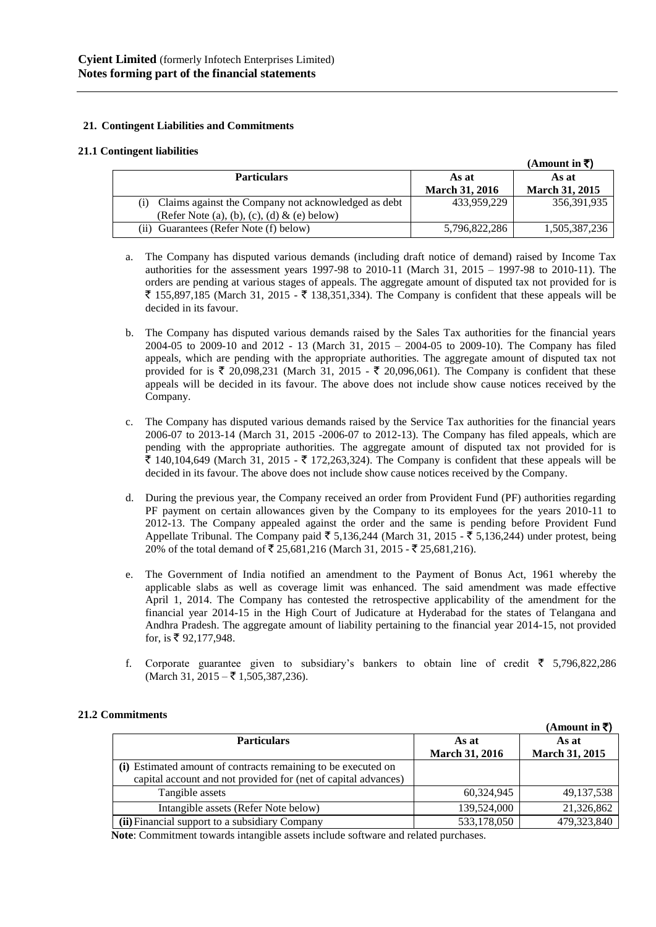# **21. Contingent Liabilities and Commitments**

# **21.1 Contingent liabilities**

|                                                            |                       | (Amount in $\bar{z}$ ) |
|------------------------------------------------------------|-----------------------|------------------------|
| <b>Particulars</b>                                         | As at                 | As at                  |
|                                                            | <b>March 31, 2016</b> | <b>March 31, 2015</b>  |
| Claims against the Company not acknowledged as debt<br>(i) | 433.959.229           | 356,391,935            |
| (Refer Note (a), (b), (c), (d) $\&$ (e) below)             |                       |                        |
| (ii) Guarantees (Refer Note (f) below)                     | 5.796.822.286         | 1,505,387,236          |

- a. The Company has disputed various demands (including draft notice of demand) raised by Income Tax authorities for the assessment years 1997-98 to 2010-11 (March 31, 2015 – 1997-98 to 2010-11). The orders are pending at various stages of appeals. The aggregate amount of disputed tax not provided for is  $\bar{\xi}$  155,897,185 (March 31, 2015 -  $\bar{\xi}$  138,351,334). The Company is confident that these appeals will be decided in its favour.
- b. The Company has disputed various demands raised by the Sales Tax authorities for the financial years 2004-05 to 2009-10 and 2012 - 13 (March 31, 2015 – 2004-05 to 2009-10). The Company has filed appeals, which are pending with the appropriate authorities. The aggregate amount of disputed tax not provided for is  $\bar{\tau}$  20,098,231 (March 31, 2015 -  $\bar{\tau}$  20,096,061). The Company is confident that these appeals will be decided in its favour. The above does not include show cause notices received by the Company.
- c. The Company has disputed various demands raised by the Service Tax authorities for the financial years 2006-07 to 2013-14 (March 31, 2015 -2006-07 to 2012-13). The Company has filed appeals, which are pending with the appropriate authorities. The aggregate amount of disputed tax not provided for is  $\bar{\xi}$  140,104,649 (March 31, 2015 -  $\bar{\xi}$  172,263,324). The Company is confident that these appeals will be decided in its favour. The above does not include show cause notices received by the Company.
- d. During the previous year, the Company received an order from Provident Fund (PF) authorities regarding PF payment on certain allowances given by the Company to its employees for the years 2010-11 to 2012-13. The Company appealed against the order and the same is pending before Provident Fund Appellate Tribunal. The Company paid  $\bar{\xi}$  5,136,244 (March 31, 2015 -  $\bar{\xi}$  5,136,244) under protest, being 20% of the total demand of ₹ 25,681,216 (March 31, 2015 - ₹ 25,681,216).
- e. The Government of India notified an amendment to the Payment of Bonus Act, 1961 whereby the applicable slabs as well as coverage limit was enhanced. The said amendment was made effective April 1, 2014. The Company has contested the retrospective applicability of the amendment for the financial year 2014-15 in the High Court of Judicature at Hyderabad for the states of Telangana and Andhra Pradesh. The aggregate amount of liability pertaining to the financial year 2014-15, not provided for, is  $\bar{x}$  92,177,948.
- f. Corporate guarantee given to subsidiary's bankers to obtain line of credit  $\bar{\tau}$  5,796,822,286  $(March 31, 2015 - \overline{5} 1, 505, 387, 236).$

# **21.2 Commitments**

|                                                                |                                | (Amount in ₹)           |
|----------------------------------------------------------------|--------------------------------|-------------------------|
| <b>Particulars</b>                                             | As at<br><b>March 31, 2016</b> | As at<br>March 31, 2015 |
| (i) Estimated amount of contracts remaining to be executed on  |                                |                         |
| capital account and not provided for (net of capital advances) |                                |                         |
| Tangible assets                                                | 60,324,945                     | 49, 137, 538            |
| Intangible assets (Refer Note below)                           | 139,524,000                    | 21,326,862              |
| (ii) Financial support to a subsidiary Company                 | 533,178,050                    | 479,323,840             |
| $\mathbf{r}$ . A set of the set of $\mathbf{r}$                | $\cdots$                       |                         |

 **Note**: Commitment towards intangible assets include software and related purchases.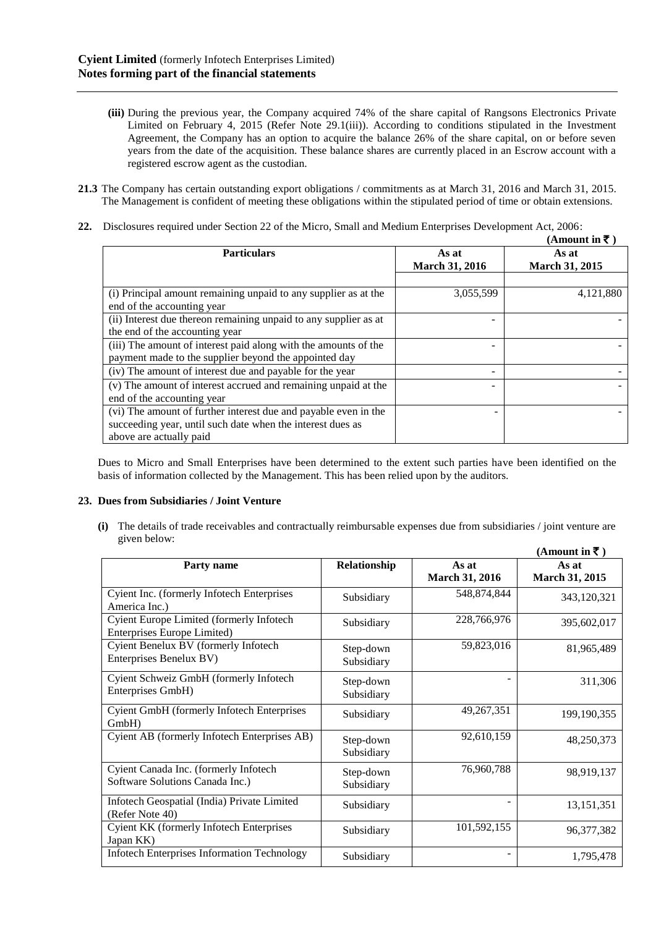- **(iii)** During the previous year, the Company acquired 74% of the share capital of Rangsons Electronics Private Limited on February 4, 2015 (Refer Note 29.1(iii)). According to conditions stipulated in the Investment Agreement, the Company has an option to acquire the balance 26% of the share capital, on or before seven years from the date of the acquisition. These balance shares are currently placed in an Escrow account with a registered escrow agent as the custodian.
- **21.3** The Company has certain outstanding export obligations / commitments as at March 31, 2016 and March 31, 2015. The Management is confident of meeting these obligations within the stipulated period of time or obtain extensions.
- **22.** Disclosures required under Section 22 of the Micro, Small and Medium Enterprises Development Act, 2006:

|                                                                                               |                                | (Amount in ₹)                  |
|-----------------------------------------------------------------------------------------------|--------------------------------|--------------------------------|
| <b>Particulars</b>                                                                            | As at<br><b>March 31, 2016</b> | As at<br><b>March 31, 2015</b> |
|                                                                                               |                                |                                |
| (i) Principal amount remaining unpaid to any supplier as at the<br>end of the accounting year | 3,055,599                      | 4,121,880                      |
| (ii) Interest due thereon remaining unpaid to any supplier as at                              |                                |                                |
| the end of the accounting year                                                                |                                |                                |
| (iii) The amount of interest paid along with the amounts of the                               |                                |                                |
| payment made to the supplier beyond the appointed day                                         |                                |                                |
| (iv) The amount of interest due and payable for the year                                      |                                |                                |
| (v) The amount of interest accrued and remaining unpaid at the                                |                                |                                |
| end of the accounting year                                                                    |                                |                                |
| (vi) The amount of further interest due and payable even in the                               |                                |                                |
| succeeding year, until such date when the interest dues as                                    |                                |                                |
| above are actually paid                                                                       |                                |                                |

Dues to Micro and Small Enterprises have been determined to the extent such parties have been identified on the basis of information collected by the Management. This has been relied upon by the auditors.

# **23. Dues from Subsidiaries / Joint Venture**

**(i)** The details of trade receivables and contractually reimbursable expenses due from subsidiaries / joint venture are given below:

|                                                                          |                         |                                | (Amount in ₹)                  |
|--------------------------------------------------------------------------|-------------------------|--------------------------------|--------------------------------|
| Party name                                                               | Relationship            | As at<br><b>March 31, 2016</b> | As at<br><b>March 31, 2015</b> |
| Cyient Inc. (formerly Infotech Enterprises<br>America Inc.)              | Subsidiary              | 548,874,844                    | 343,120,321                    |
| Cyient Europe Limited (formerly Infotech<br>Enterprises Europe Limited)  | Subsidiary              | 228,766,976                    | 395,602,017                    |
| Cyient Benelux BV (formerly Infotech<br>Enterprises Benelux BV)          | Step-down<br>Subsidiary | 59,823,016                     | 81,965,489                     |
| Cyient Schweiz GmbH (formerly Infotech<br>Enterprises GmbH)              | Step-down<br>Subsidiary |                                | 311,306                        |
| Cyient GmbH (formerly Infotech Enterprises<br>GmbH)                      | Subsidiary              | 49,267,351                     | 199, 190, 355                  |
| Cyient AB (formerly Infotech Enterprises AB)                             | Step-down<br>Subsidiary | 92,610,159                     | 48,250,373                     |
| Cyient Canada Inc. (formerly Infotech<br>Software Solutions Canada Inc.) | Step-down<br>Subsidiary | 76,960,788                     | 98,919,137                     |
| Infotech Geospatial (India) Private Limited<br>(Refer Note 40)           | Subsidiary              |                                | 13, 151, 351                   |
| Cyient KK (formerly Infotech Enterprises<br>Japan KK)                    | Subsidiary              | 101,592,155                    | 96, 377, 382                   |
| <b>Infotech Enterprises Information Technology</b>                       | Subsidiary              |                                | 1,795,478                      |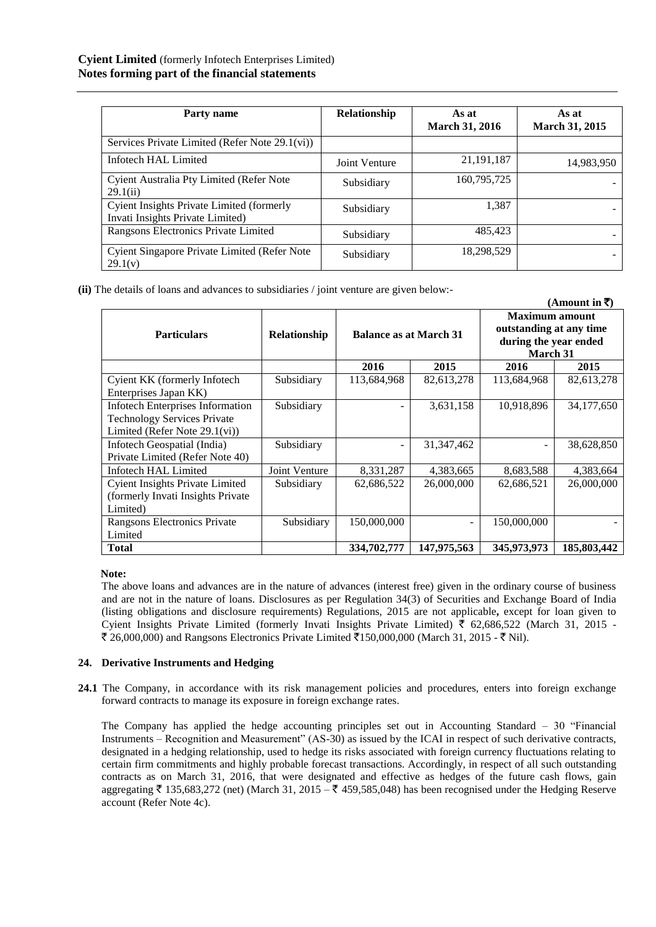| Party name                                                                    | Relationship  | As at<br><b>March 31, 2016</b> | As at<br>March 31, 2015 |
|-------------------------------------------------------------------------------|---------------|--------------------------------|-------------------------|
| Services Private Limited (Refer Note 29.1(vi))                                |               |                                |                         |
| Infotech HAL Limited                                                          | Joint Venture | 21, 191, 187                   | 14,983,950              |
| Cyient Australia Pty Limited (Refer Note<br>29.1(ii)                          | Subsidiary    | 160,795,725                    |                         |
| Cyient Insights Private Limited (formerly<br>Invati Insights Private Limited) | Subsidiary    | 1,387                          |                         |
| Rangsons Electronics Private Limited                                          | Subsidiary    | 485,423                        |                         |
| Cyient Singapore Private Limited (Refer Note<br>29.1(v)                       | Subsidiary    | 18,298,529                     |                         |

**(ii)** The details of loans and advances to subsidiaries / joint venture are given below:-

|                                         |                     |                               |              |                                                                                       | (Amount in ₹) |
|-----------------------------------------|---------------------|-------------------------------|--------------|---------------------------------------------------------------------------------------|---------------|
| <b>Particulars</b>                      | <b>Relationship</b> | <b>Balance as at March 31</b> |              | <b>Maximum amount</b><br>outstanding at any time<br>during the year ended<br>March 31 |               |
|                                         |                     | 2016                          | 2015         | 2016                                                                                  | 2015          |
| Cyient KK (formerly Infotech            | Subsidiary          | 113,684,968                   | 82,613,278   | 113,684,968                                                                           | 82,613,278    |
| Enterprises Japan KK)                   |                     |                               |              |                                                                                       |               |
| <b>Infotech Enterprises Information</b> | Subsidiary          |                               | 3,631,158    | 10,918,896                                                                            | 34,177,650    |
| <b>Technology Services Private</b>      |                     |                               |              |                                                                                       |               |
| Limited (Refer Note $29.1$ (vi))        |                     |                               |              |                                                                                       |               |
| Infotech Geospatial (India)             | Subsidiary          |                               | 31, 347, 462 |                                                                                       | 38,628,850    |
| Private Limited (Refer Note 40)         |                     |                               |              |                                                                                       |               |
| Infotech HAL Limited                    | Joint Venture       | 8,331,287                     | 4,383,665    | 8,683,588                                                                             | 4,383,664     |
| <b>Cyient Insights Private Limited</b>  | Subsidiary          | 62,686,522                    | 26,000,000   | 62,686,521                                                                            | 26,000,000    |
| (formerly Invati Insights Private       |                     |                               |              |                                                                                       |               |
| Limited)                                |                     |                               |              |                                                                                       |               |
| Rangsons Electronics Private            | Subsidiary          | 150,000,000                   |              | 150,000,000                                                                           |               |
| Limited                                 |                     |                               |              |                                                                                       |               |
| <b>Total</b>                            |                     | 334,702,777                   | 147,975,563  | 345,973,973                                                                           | 185,803,442   |

**Note:**

The above loans and advances are in the nature of advances (interest free) given in the ordinary course of business and are not in the nature of loans. Disclosures as per Regulation 34(3) of Securities and Exchange Board of India (listing obligations and disclosure requirements) Regulations, 2015 are not applicable**,** except for loan given to Cyient Insights Private Limited (formerly Invati Insights Private Limited)  $\bar{\tau}$  62,686,522 (March 31, 2015 -₹ 26,000,000) and Rangsons Electronics Private Limited ₹150,000,000 (March 31, 2015 - ₹ Nil).

# **24. Derivative Instruments and Hedging**

**24.1** The Company, in accordance with its risk management policies and procedures, enters into foreign exchange forward contracts to manage its exposure in foreign exchange rates.

The Company has applied the hedge accounting principles set out in Accounting Standard – 30 "Financial Instruments – Recognition and Measurement" (AS-30) as issued by the ICAI in respect of such derivative contracts, designated in a hedging relationship, used to hedge its risks associated with foreign currency fluctuations relating to certain firm commitments and highly probable forecast transactions. Accordingly, in respect of all such outstanding contracts as on March 31, 2016, that were designated and effective as hedges of the future cash flows, gain aggregating  $\bar{\tau}$  135,683,272 (net) (March 31, 2015 –  $\bar{\tau}$  459,585,048) has been recognised under the Hedging Reserve account (Refer Note 4c).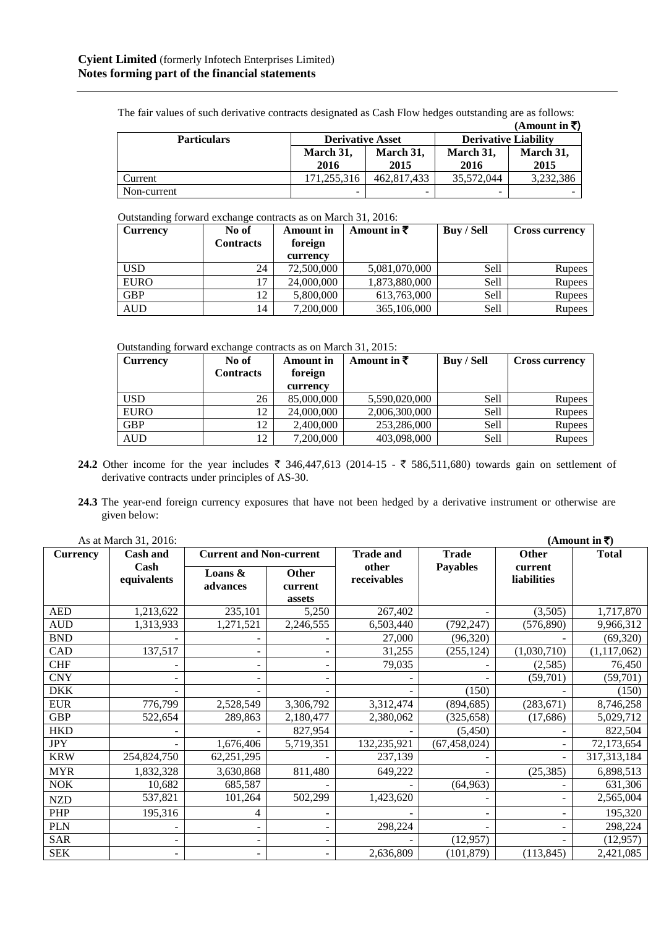|                    |                         |             |                             | (Amount in $\bar{z}$ ) |  |
|--------------------|-------------------------|-------------|-----------------------------|------------------------|--|
| <b>Particulars</b> | <b>Derivative Asset</b> |             | <b>Derivative Liability</b> |                        |  |
|                    | March 31,               | March 31,   | March 31,                   | March 31,              |  |
|                    | 2016                    | 2015        | 2016                        | 2015                   |  |
| Current            | 171.255.316             | 462,817,433 | 35.572.044                  | 3,232,386              |  |
| Non-current        |                         |             |                             |                        |  |

The fair values of such derivative contracts designated as Cash Flow hedges outstanding are as follows:

Outstanding forward exchange contracts as on March 31, 2016:

| Currency    | No of            | <b>Amount</b> in | Amount in $\bar{z}$ | Buy / Sell  | <b>Cross currency</b> |  |
|-------------|------------------|------------------|---------------------|-------------|-----------------------|--|
|             | <b>Contracts</b> | foreign          |                     |             |                       |  |
|             |                  | currency         |                     |             |                       |  |
| <b>USD</b>  | 24               | 72,500,000       | 5,081,070,000       | Sell        | <b>Rupees</b>         |  |
| <b>EURO</b> | 17               | 24,000,000       | 1,873,880,000       | Sell        | <b>Rupees</b>         |  |
| <b>GBP</b>  | 12               | 5,800,000        | 613,763,000         | <b>Sell</b> | Rupees                |  |
| <b>AUD</b>  | 14               | 7,200,000        | 365,106,000         | Sell        | <b>Rupees</b>         |  |

Outstanding forward exchange contracts as on March 31, 2015:

| Currency    | No of            | <b>Amount</b> in | Amount in $\bar{\tau}$ | <b>Buy / Sell</b> | <b>Cross currency</b> |
|-------------|------------------|------------------|------------------------|-------------------|-----------------------|
|             | <b>Contracts</b> | foreign          |                        |                   |                       |
|             |                  | currency         |                        |                   |                       |
| <b>USD</b>  | 26               | 85,000,000       | 5,590,020,000          | Sell              | Rupees                |
| <b>EURO</b> | 12               | 24,000,000       | 2,006,300,000          | Sell              | <b>Rupees</b>         |
| <b>GBP</b>  | 12               | 2,400,000        | 253,286,000            | Sell              | <b>Rupees</b>         |
| <b>AUD</b>  | 12               | 7,200,000        | 403,098,000            | Sell              | <b>Rupees</b>         |

- **24.2** Other income for the year includes  $\bar{\tau}$  346,447,613 (2014-15  $\bar{\tau}$  586,511,680) towards gain on settlement of derivative contracts under principles of AS-30.
- **24.3** The year-end foreign currency exposures that have not been hedged by a derivative instrument or otherwise are given below:

|                 | As at March 31, 2016: |                                |                            |                      |                 |                        | (Amount in ₹) |
|-----------------|-----------------------|--------------------------------|----------------------------|----------------------|-----------------|------------------------|---------------|
| <b>Currency</b> | <b>Cash and</b>       | <b>Current and Non-current</b> |                            | <b>Trade and</b>     | <b>Trade</b>    | Other                  | <b>Total</b>  |
|                 | Cash<br>equivalents   | Loans $\&$<br>advances         | Other<br>current<br>assets | other<br>receivables | <b>Payables</b> | current<br>liabilities |               |
| <b>AED</b>      | 1,213,622             | 235,101                        | 5,250                      | 267,402              |                 | (3,505)                | 1,717,870     |
| <b>AUD</b>      | 1,313,933             | 1,271,521                      | 2,246,555                  | 6,503,440            | (792, 247)      | (576, 890)             | 9,966,312     |
| <b>BND</b>      |                       |                                |                            | 27,000               | (96,320)        |                        | (69, 320)     |
| CAD             | 137,517               |                                |                            | 31,255               | (255, 124)      | (1,030,710)            | (1, 117, 062) |
| <b>CHF</b>      |                       |                                |                            | 79,035               |                 | (2,585)                | 76,450        |
| <b>CNY</b>      |                       |                                |                            |                      |                 | (59,701)               | (59,701)      |
| <b>DKK</b>      |                       |                                |                            |                      | (150)           |                        | (150)         |
| <b>EUR</b>      | 776,799               | 2,528,549                      | 3,306,792                  | 3,312,474            | (894, 685)      | (283, 671)             | 8,746,258     |
| <b>GBP</b>      | 522,654               | 289,863                        | 2,180,477                  | 2,380,062            | (325, 658)      | (17,686)               | 5,029,712     |
| <b>HKD</b>      |                       |                                | 827,954                    |                      | (5,450)         |                        | 822,504       |
| <b>JPY</b>      |                       | 1,676,406                      | 5,719,351                  | 132,235,921          | (67, 458, 024)  |                        | 72,173,654    |
| <b>KRW</b>      | 254,824,750           | 62,251,295                     |                            | 237,139              |                 | $\overline{a}$         | 317, 313, 184 |
| <b>MYR</b>      | 1,832,328             | 3,630,868                      | 811,480                    | 649,222              |                 | (25, 385)              | 6,898,513     |
| <b>NOK</b>      | 10,682                | 685,587                        |                            |                      | (64, 963)       |                        | 631,306       |
| <b>NZD</b>      | 537,821               | 101,264                        | 502,299                    | 1,423,620            |                 |                        | 2,565,004     |
| PHP             | 195,316               | 4                              |                            |                      |                 |                        | 195,320       |
| <b>PLN</b>      |                       |                                |                            | 298,224              |                 |                        | 298,224       |
| SAR             |                       |                                |                            |                      | (12,957)        |                        | (12, 957)     |
| <b>SEK</b>      | -                     |                                |                            | 2,636,809            | (101, 879)      | (113, 845)             | 2,421,085     |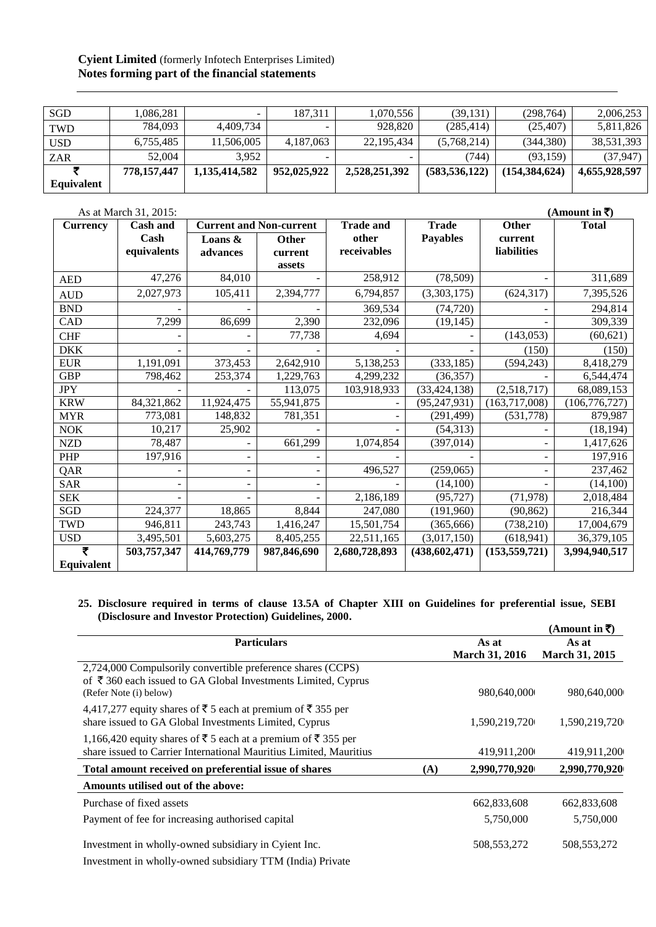# **Cyient Limited** (formerly Infotech Enterprises Limited) **Notes forming part of the financial statements**

| Equivalent |             |               |             |               |                 |                 |               |
|------------|-------------|---------------|-------------|---------------|-----------------|-----------------|---------------|
|            | 778.157.447 | 1,135,414,582 | 952,025,922 | 2,528,251,392 | (583, 536, 122) | (154, 384, 624) | 4,655,928,597 |
| <b>ZAR</b> | 52.004      | 3.952         | -           |               | 744)            | (93.159)        | (37.947)      |
| <b>USD</b> | 6,755,485   | 11.506.005    | 4.187.063   | 22,195,434    | (5,768,214)     | (344.380)       | 38,531,393    |
| <b>TWD</b> | 784,093     | 4.409.734     |             | 928,820       | (285, 414)      | (25, 407)       | 5,811,826     |
| <b>SGD</b> | .086.281    |               | 187.311     | 1,070,556     | (39, 131)       | (298, 764)      | 2,006,253     |

|                 | As at March 31, 2015: |             |                                |                  |                 |                          | (Amount in ₹)   |
|-----------------|-----------------------|-------------|--------------------------------|------------------|-----------------|--------------------------|-----------------|
| <b>Currency</b> | <b>Cash and</b>       |             | <b>Current and Non-current</b> | <b>Trade and</b> | <b>Trade</b>    | <b>Other</b>             | <b>Total</b>    |
|                 | Cash                  | Loans &     | Other                          | other            | <b>Payables</b> | current                  |                 |
|                 | equivalents           | advances    | current                        | receivables      |                 | <b>liabilities</b>       |                 |
|                 |                       |             | assets                         |                  |                 |                          |                 |
| <b>AED</b>      | 47,276                | 84,010      |                                | 258,912          | (78, 509)       |                          | 311,689         |
| <b>AUD</b>      | 2,027,973             | 105,411     | 2,394,777                      | 6,794,857        | (3,303,175)     | (624, 317)               | 7,395,526       |
| <b>BND</b>      |                       |             |                                | 369,534          | (74, 720)       |                          | 294,814         |
| CAD             | 7,299                 | 86,699      | 2,390                          | 232,096          | (19, 145)       |                          | 309,339         |
| <b>CHF</b>      |                       |             | 77,738                         | 4,694            |                 | (143, 053)               | (60, 621)       |
| <b>DKK</b>      |                       |             |                                |                  |                 | (150)                    | (150)           |
| <b>EUR</b>      | 1,191,091             | 373,453     | 2,642,910                      | 5,138,253        | (333, 185)      | (594, 243)               | 8,418,279       |
| <b>GBP</b>      | 798,462               | 253,374     | 1,229,763                      | 4,299,232        | (36, 357)       |                          | 6,544,474       |
| <b>JPY</b>      |                       |             | 113,075                        | 103,918,933      | (33, 424, 138)  | (2,518,717)              | 68,089,153      |
| <b>KRW</b>      | 84,321,862            | 11,924,475  | 55,941,875                     |                  | (95, 247, 931)  | (163, 717, 008)          | (106, 776, 727) |
| <b>MYR</b>      | 773,081               | 148,832     | 781,351                        |                  | (291, 499)      | (531,778)                | 879,987         |
| $\rm NOK$       | 10,217                | 25,902      |                                |                  | (54, 313)       |                          | (18, 194)       |
| <b>NZD</b>      | 78,487                |             | 661,299                        | 1,074,854        | (397, 014)      |                          | 1,417,626       |
| PHP             | 197,916               |             |                                |                  |                 | $\overline{\phantom{a}}$ | 197,916         |
| QAR             |                       |             |                                | 496,527          | (259,065)       | $\overline{\phantom{a}}$ | 237,462         |
| <b>SAR</b>      |                       |             |                                |                  | (14,100)        |                          | (14,100)        |
| <b>SEK</b>      |                       |             |                                | 2,186,189        | (95, 727)       | (71, 978)                | 2,018,484       |
| SGD             | 224,377               | 18,865      | 8,844                          | 247,080          | (191,960)       | (90, 862)                | 216,344         |
| <b>TWD</b>      | 946,811               | 243,743     | 1,416,247                      | 15,501,754       | (365, 666)      | (738, 210)               | 17,004,679      |
| <b>USD</b>      | 3,495,501             | 5,603,275   | 8,405,255                      | 22,511,165       | (3,017,150)     | (618, 941)               | 36,379,105      |
| ₹               | 503,757,347           | 414,769,779 | 987,846,690                    | 2,680,728,893    | (438, 602, 471) | (153, 559, 721)          | 3,994,940,517   |
| Equivalent      |                       |             |                                |                  |                 |                          |                 |

#### **25. Disclosure required in terms of clause 13.5A of Chapter XIII on Guidelines for preferential issue, SEBI (Disclosure and Investor Protection) Guidelines, 2000. (Amount in** `**)**

|                                                                                                                      |     |                       | (Amount in ₹)         |
|----------------------------------------------------------------------------------------------------------------------|-----|-----------------------|-----------------------|
| <b>Particulars</b>                                                                                                   |     | As at                 | As at                 |
|                                                                                                                      |     | <b>March 31, 2016</b> | <b>March 31, 2015</b> |
| 2,724,000 Compulsorily convertible preference shares (CCPS)                                                          |     |                       |                       |
| of $\bar{\tau}$ 360 each issued to GA Global Investments Limited, Cyprus                                             |     |                       |                       |
| (Refer Note (i) below)                                                                                               |     | 980,640,000           | 980,640,000           |
| 4,417,277 equity shares of ₹ 5 each at premium of ₹ 355 per<br>share issued to GA Global Investments Limited, Cyprus |     | 1,590,219,720         | 1,590,219,720         |
| 1,166,420 equity shares of ₹ 5 each at a premium of ₹ 355 per                                                        |     |                       |                       |
| share issued to Carrier International Mauritius Limited, Mauritius                                                   |     | 419,911,200           | 419,911,200           |
| Total amount received on preferential issue of shares                                                                | (A) | 2,990,770,920         | 2,990,770,920         |
| Amounts utilised out of the above:                                                                                   |     |                       |                       |
| Purchase of fixed assets                                                                                             |     | 662,833,608           | 662,833,608           |
| Payment of fee for increasing authorised capital                                                                     |     | 5,750,000             | 5,750,000             |
| Investment in wholly-owned subsidiary in Cyient Inc.                                                                 |     | 508, 553, 272         | 508, 553, 272         |
| Investment in wholly-owned subsidiary TTM (India) Private                                                            |     |                       |                       |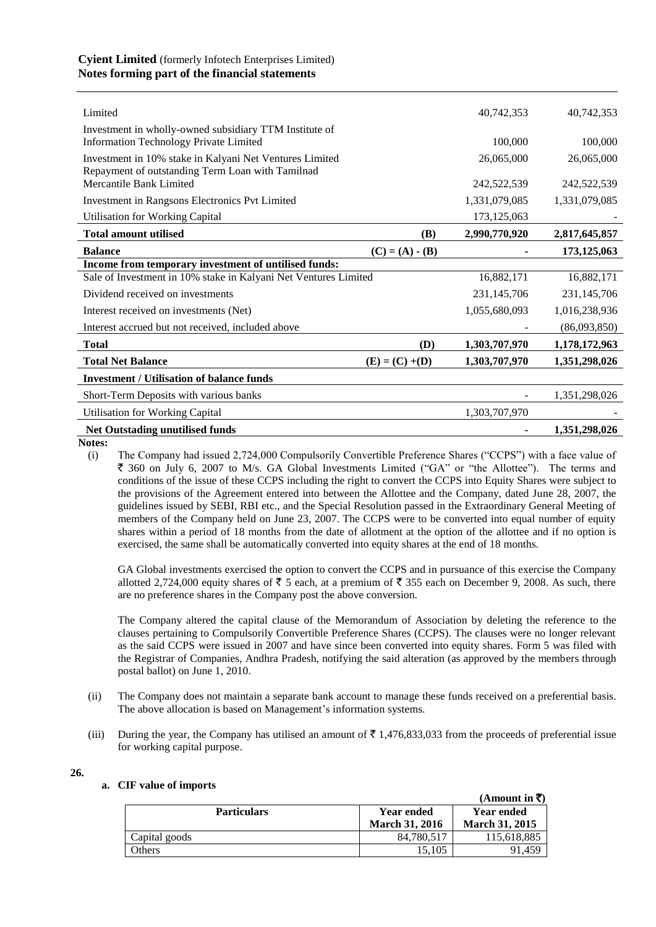# **Cyient Limited** (formerly Infotech Enterprises Limited) **Notes forming part of the financial statements**

| Limited                                                                                                     |                   | 40,742,353    | 40,742,353    |
|-------------------------------------------------------------------------------------------------------------|-------------------|---------------|---------------|
| Investment in wholly-owned subsidiary TTM Institute of                                                      |                   |               |               |
| <b>Information Technology Private Limited</b>                                                               |                   | 100,000       | 100,000       |
| Investment in 10% stake in Kalyani Net Ventures Limited<br>Repayment of outstanding Term Loan with Tamilnad |                   | 26,065,000    | 26,065,000    |
| Mercantile Bank Limited                                                                                     |                   | 242,522,539   | 242,522,539   |
| Investment in Rangsons Electronics Pvt Limited                                                              |                   | 1,331,079,085 | 1,331,079,085 |
| <b>Utilisation for Working Capital</b>                                                                      |                   | 173, 125, 063 |               |
| <b>Total amount utilised</b>                                                                                | (B)               | 2,990,770,920 | 2,817,645,857 |
| <b>Balance</b>                                                                                              | $(C) = (A) - (B)$ |               | 173,125,063   |
| Income from temporary investment of untilised funds:                                                        |                   |               |               |
| Sale of Investment in 10% stake in Kalyani Net Ventures Limited                                             |                   | 16,882,171    | 16,882,171    |
| Dividend received on investments                                                                            |                   | 231,145,706   | 231,145,706   |
| Interest received on investments (Net)                                                                      |                   | 1,055,680,093 | 1,016,238,936 |
| Interest accrued but not received, included above                                                           |                   |               | (86,093,850)  |
| <b>Total</b>                                                                                                | (D)               | 1,303,707,970 | 1,178,172,963 |
| <b>Total Net Balance</b>                                                                                    | $(E) = (C) + (D)$ | 1,303,707,970 | 1,351,298,026 |
| <b>Investment / Utilisation of balance funds</b>                                                            |                   |               |               |
| Short-Term Deposits with various banks                                                                      |                   |               | 1,351,298,026 |
| <b>Utilisation for Working Capital</b>                                                                      |                   | 1,303,707,970 |               |
| Net Outstading unutilised funds                                                                             |                   |               | 1,351,298,026 |

**Notes:**

(i) The Company had issued 2,724,000 Compulsorily Convertible Preference Shares ("CCPS") with a face value of ` 360 on July 6, 2007 to M/s. GA Global Investments Limited ("GA" or "the Allottee"). The terms and conditions of the issue of these CCPS including the right to convert the CCPS into Equity Shares were subject to the provisions of the Agreement entered into between the Allottee and the Company, dated June 28, 2007, the guidelines issued by SEBI, RBI etc., and the Special Resolution passed in the Extraordinary General Meeting of members of the Company held on June 23, 2007. The CCPS were to be converted into equal number of equity shares within a period of 18 months from the date of allotment at the option of the allottee and if no option is exercised, the same shall be automatically converted into equity shares at the end of 18 months.

GA Global investments exercised the option to convert the CCPS and in pursuance of this exercise the Company allotted 2,724,000 equity shares of  $\overline{5}$  5 each, at a premium of  $\overline{5}$  355 each on December 9, 2008. As such, there are no preference shares in the Company post the above conversion.

The Company altered the capital clause of the Memorandum of Association by deleting the reference to the clauses pertaining to Compulsorily Convertible Preference Shares (CCPS). The clauses were no longer relevant as the said CCPS were issued in 2007 and have since been converted into equity shares. Form 5 was filed with the Registrar of Companies, Andhra Pradesh, notifying the said alteration (as approved by the members through postal ballot) on June 1, 2010.

- (ii) The Company does not maintain a separate bank account to manage these funds received on a preferential basis. The above allocation is based on Management's information systems.
- (iii) During the year, the Company has utilised an amount of  $\bar{\tau}$  1,476,833,033 from the proceeds of preferential issue for working capital purpose.
- **26.**

# **a. CIF value of imports**

|                    |                       | (Amount in $\bar{x}$ ) |
|--------------------|-----------------------|------------------------|
| <b>Particulars</b> | Year ended            | Year ended             |
|                    | <b>March 31, 2016</b> | <b>March 31, 2015</b>  |
| Capital goods      | 84,780,517            | 115,618,885            |
| Others             | 15.105                | 91.459                 |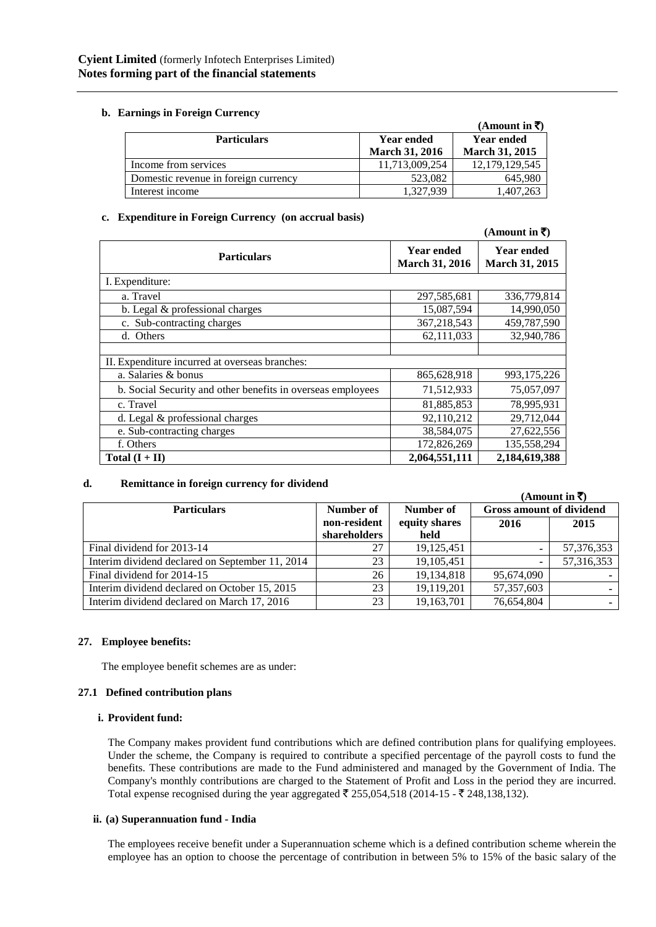# **b. Earnings in Foreign Currency**

|                                      |                       | (Amount in $\overline{\tau}$ ) |
|--------------------------------------|-----------------------|--------------------------------|
| <b>Particulars</b>                   | <b>Year ended</b>     | <b>Year ended</b>              |
|                                      | <b>March 31, 2016</b> | <b>March 31, 2015</b>          |
| Income from services                 | 11,713,009,254        | 12,179,129,545                 |
| Domestic revenue in foreign currency | 523,082               | 645.980                        |
| Interest income                      | 1,327,939             | 1,407,263                      |

# **c. Expenditure in Foreign Currency (on accrual basis)**

|                                                             |                                            | (Amount in ₹)                              |
|-------------------------------------------------------------|--------------------------------------------|--------------------------------------------|
| <b>Particulars</b>                                          | <b>Year ended</b><br><b>March 31, 2016</b> | <b>Year ended</b><br><b>March 31, 2015</b> |
| I. Expenditure:                                             |                                            |                                            |
| a. Travel                                                   | 297,585,681                                | 336,779,814                                |
| b. Legal & professional charges                             | 15,087,594                                 | 14,990,050                                 |
| c. Sub-contracting charges                                  | 367,218,543                                | 459,787,590                                |
| d. Others                                                   | 62,111,033                                 | 32,940,786                                 |
|                                                             |                                            |                                            |
| II. Expenditure incurred at overseas branches:              |                                            |                                            |
| a. Salaries & bonus                                         | 865,628,918                                | 993, 175, 226                              |
| b. Social Security and other benefits in overseas employees | 71,512,933                                 | 75,057,097                                 |
| c. Travel                                                   | 81,885,853                                 | 78,995,931                                 |
| d. Legal & professional charges                             | 92,110,212                                 | 29,712,044                                 |
| e. Sub-contracting charges                                  | 38,584,075                                 | 27,622,556                                 |
| f. Others                                                   | 172,826,269                                | 135,558,294                                |
| Total $(I + II)$                                            | 2,064,551,111                              | 2,184,619,388                              |

# **d. Remittance in foreign currency for dividend**

|                                                 |              |               |                                 | (Amount in $\bar{z}$ ) |
|-------------------------------------------------|--------------|---------------|---------------------------------|------------------------|
| <b>Particulars</b>                              | Number of    | Number of     | <b>Gross amount of dividend</b> |                        |
|                                                 | non-resident | equity shares | 2016                            | 2015                   |
|                                                 | shareholders | held          |                                 |                        |
| Final dividend for 2013-14                      | 27           | 19,125,451    |                                 | 57,376,353             |
| Interim dividend declared on September 11, 2014 | 23           | 19,105,451    |                                 | 57,316,353             |
| Final dividend for 2014-15                      | 26           | 19,134,818    | 95,674,090                      |                        |
| Interim dividend declared on October 15, 2015   | 23           | 19,119,201    | 57,357,603                      |                        |
| Interim dividend declared on March 17, 2016     | 23           | 19,163,701    | 76,654,804                      | $\sim$                 |

# **27. Employee benefits:**

The employee benefit schemes are as under:

# **27.1 Defined contribution plans**

# **i. Provident fund:**

The Company makes provident fund contributions which are defined contribution plans for qualifying employees. Under the scheme, the Company is required to contribute a specified percentage of the payroll costs to fund the benefits. These contributions are made to the Fund administered and managed by the Government of India. The Company's monthly contributions are charged to the Statement of Profit and Loss in the period they are incurred. Total expense recognised during the year aggregated  $\bar{\tau}$  255,054,518 (2014-15 -  $\bar{\tau}$  248,138,132).

# **ii. (a) Superannuation fund - India**

The employees receive benefit under a Superannuation scheme which is a defined contribution scheme wherein the employee has an option to choose the percentage of contribution in between 5% to 15% of the basic salary of the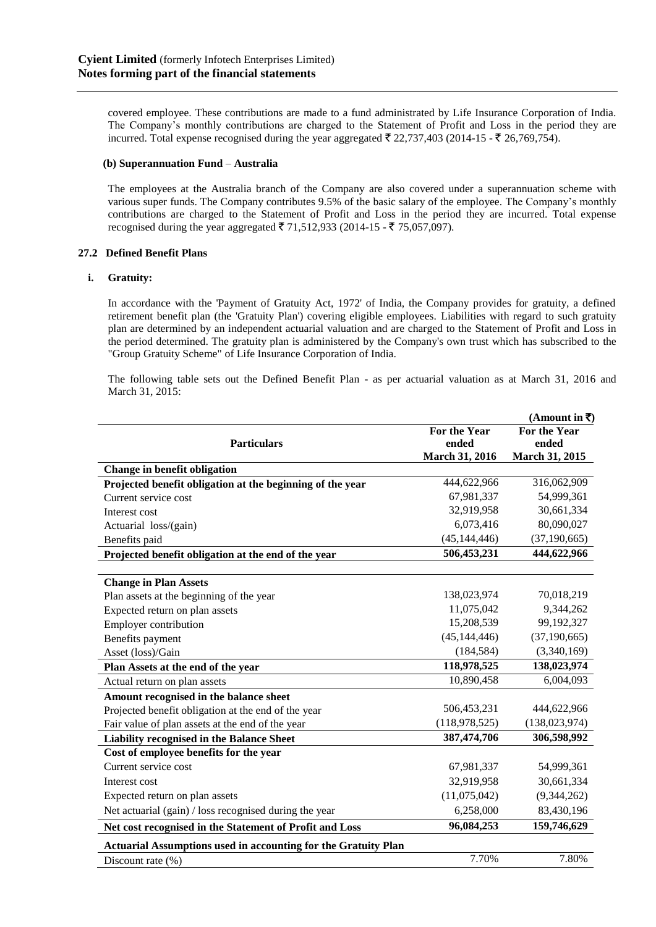covered employee. These contributions are made to a fund administrated by Life Insurance Corporation of India. The Company's monthly contributions are charged to the Statement of Profit and Loss in the period they are incurred. Total expense recognised during the year aggregated  $\bar{\tau}$  22,737,403 (2014-15 -  $\bar{\tau}$  26,769,754).

## **(b) Superannuation Fund** – **Australia**

The employees at the Australia branch of the Company are also covered under a superannuation scheme with various super funds. The Company contributes 9.5% of the basic salary of the employee. The Company's monthly contributions are charged to the Statement of Profit and Loss in the period they are incurred. Total expense recognised during the year aggregated  $\bar{\tau}$  71,512,933 (2014-15 -  $\bar{\tau}$  75,057,097).

# **27.2 Defined Benefit Plans**

# **i. Gratuity:**

In accordance with the 'Payment of Gratuity Act, 1972' of India, the Company provides for gratuity, a defined retirement benefit plan (the 'Gratuity Plan') covering eligible employees. Liabilities with regard to such gratuity plan are determined by an independent actuarial valuation and are charged to the Statement of Profit and Loss in the period determined. The gratuity plan is administered by the Company's own trust which has subscribed to the "Group Gratuity Scheme" of Life Insurance Corporation of India.

The following table sets out the Defined Benefit Plan - as per actuarial valuation as at March 31, 2016 and March 31, 2015:

|                                                                       |                 | (Amount in ₹)   |
|-----------------------------------------------------------------------|-----------------|-----------------|
|                                                                       | For the Year    | For the Year    |
| <b>Particulars</b>                                                    | ended           | ended           |
|                                                                       | March 31, 2016  | March 31, 2015  |
| Change in benefit obligation                                          |                 |                 |
| Projected benefit obligation at the beginning of the year             | 444,622,966     | 316,062,909     |
| Current service cost                                                  | 67,981,337      | 54,999,361      |
| Interest cost                                                         | 32,919,958      | 30,661,334      |
| Actuarial loss/(gain)                                                 | 6,073,416       | 80,090,027      |
| Benefits paid                                                         | (45, 144, 446)  | (37, 190, 665)  |
| Projected benefit obligation at the end of the year                   | 506,453,231     | 444,622,966     |
|                                                                       |                 |                 |
| <b>Change in Plan Assets</b>                                          |                 |                 |
| Plan assets at the beginning of the year                              | 138,023,974     | 70,018,219      |
| Expected return on plan assets                                        | 11,075,042      | 9,344,262       |
| <b>Employer contribution</b>                                          | 15,208,539      | 99,192,327      |
| Benefits payment                                                      | (45, 144, 446)  | (37, 190, 665)  |
| Asset (loss)/Gain                                                     | (184, 584)      | (3,340,169)     |
| Plan Assets at the end of the year                                    | 118,978,525     | 138,023,974     |
| Actual return on plan assets                                          | 10,890,458      | 6,004,093       |
| Amount recognised in the balance sheet                                |                 |                 |
| Projected benefit obligation at the end of the year                   | 506,453,231     | 444,622,966     |
| Fair value of plan assets at the end of the year                      | (118, 978, 525) | (138, 023, 974) |
| <b>Liability recognised in the Balance Sheet</b>                      | 387,474,706     | 306,598,992     |
| Cost of employee benefits for the year                                |                 |                 |
| Current service cost                                                  | 67,981,337      | 54,999,361      |
| Interest cost                                                         | 32,919,958      | 30,661,334      |
| Expected return on plan assets                                        | (11,075,042)    | (9, 344, 262)   |
| Net actuarial (gain) / loss recognised during the year                | 6,258,000       | 83,430,196      |
| Net cost recognised in the Statement of Profit and Loss               | 96,084,253      | 159,746,629     |
| <b>Actuarial Assumptions used in accounting for the Gratuity Plan</b> |                 |                 |
| Discount rate (%)                                                     | 7.70%           | 7.80%           |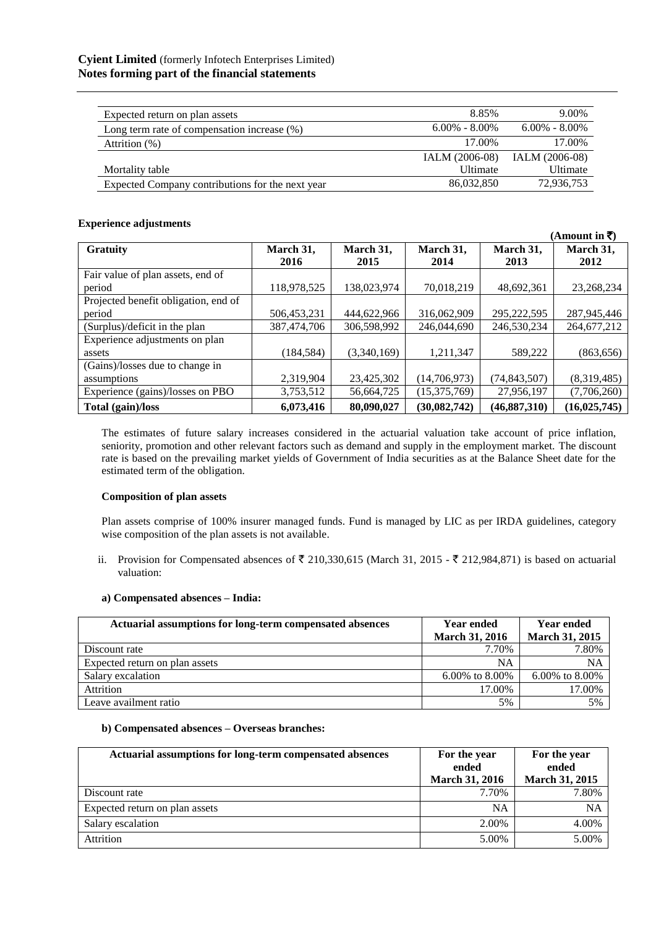| Expected return on plan assets                   | 8.85%               | 9.00%             |
|--------------------------------------------------|---------------------|-------------------|
| Long term rate of compensation increase $(\%)$   | $6.00\%$ - $8.00\%$ | $6.00\% - 8.00\%$ |
| Attrition (%)                                    | 17.00%              | 17.00%            |
|                                                  | IALM (2006-08)      | IALM (2006-08)    |
| Mortality table                                  | <b>Ultimate</b>     | Ultimate          |
| Expected Company contributions for the next year | 86,032,850          | 72,936,753        |

## **Experience adjustments**

|                                      |             |             |              |                | (Amount in ₹)  |
|--------------------------------------|-------------|-------------|--------------|----------------|----------------|
| <b>Gratuity</b>                      | March 31,   | March 31,   | March 31,    | March 31,      | March 31,      |
|                                      | 2016        | 2015        | 2014         | 2013           | 2012           |
| Fair value of plan assets, end of    |             |             |              |                |                |
| period                               | 118,978,525 | 138,023,974 | 70,018,219   | 48,692,361     | 23,268,234     |
| Projected benefit obligation, end of |             |             |              |                |                |
| period                               | 506,453,231 | 444,622,966 | 316,062,909  | 295,222,595    | 287,945,446    |
| (Surplus)/deficit in the plan        | 387,474,706 | 306,598,992 | 246,044,690  | 246,530,234    | 264,677,212    |
| Experience adjustments on plan       |             |             |              |                |                |
| assets                               | (184, 584)  | (3,340,169) | 1,211,347    | 589,222        | (863, 656)     |
| (Gains)/losses due to change in      |             |             |              |                |                |
| assumptions                          | 2,319,904   | 23,425,302  | (14,706,973) | (74, 843, 507) | (8,319,485)    |
| Experience (gains)/losses on PBO     | 3,753,512   | 56,664,725  | (15,375,769) | 27,956,197     | (7,706,260)    |
| Total (gain)/loss                    | 6,073,416   | 80,090,027  | (30,082,742) | (46, 887, 310) | (16, 025, 745) |

The estimates of future salary increases considered in the actuarial valuation take account of price inflation, seniority, promotion and other relevant factors such as demand and supply in the employment market. The discount rate is based on the prevailing market yields of Government of India securities as at the Balance Sheet date for the estimated term of the obligation.

# **Composition of plan assets**

Plan assets comprise of 100% insurer managed funds. Fund is managed by LIC as per IRDA guidelines, category wise composition of the plan assets is not available.

ii. Provision for Compensated absences of  $\bar{\tau}$  210,330,615 (March 31, 2015 -  $\bar{\tau}$  212,984,871) is based on actuarial valuation:

## **a) Compensated absences – India:**

| Actuarial assumptions for long-term compensated absences | <b>Year ended</b>     | <b>Year ended</b>     |
|----------------------------------------------------------|-----------------------|-----------------------|
|                                                          | <b>March 31, 2016</b> | <b>March 31, 2015</b> |
| Discount rate                                            | 7.70%                 | 7.80%                 |
| Expected return on plan assets                           | NA                    | NA                    |
| Salary excalation                                        | 6.00% to 8.00%        | $6.00\%$ to 8.00%     |
| <b>Attrition</b>                                         | 17.00%                | 17.00%                |
| Leave availment ratio                                    | 5%                    | 5%                    |

## **b) Compensated absences – Overseas branches:**

| Actuarial assumptions for long-term compensated absences | For the year<br>ended<br><b>March 31, 2016</b> | For the year<br>ended<br><b>March 31, 2015</b> |
|----------------------------------------------------------|------------------------------------------------|------------------------------------------------|
| Discount rate                                            | 7.70%                                          | 7.80%                                          |
| Expected return on plan assets                           | NA                                             | <b>NA</b>                                      |
| Salary escalation                                        | 2.00%                                          | 4.00%                                          |
| Attrition                                                | 5.00%                                          | 5.00%                                          |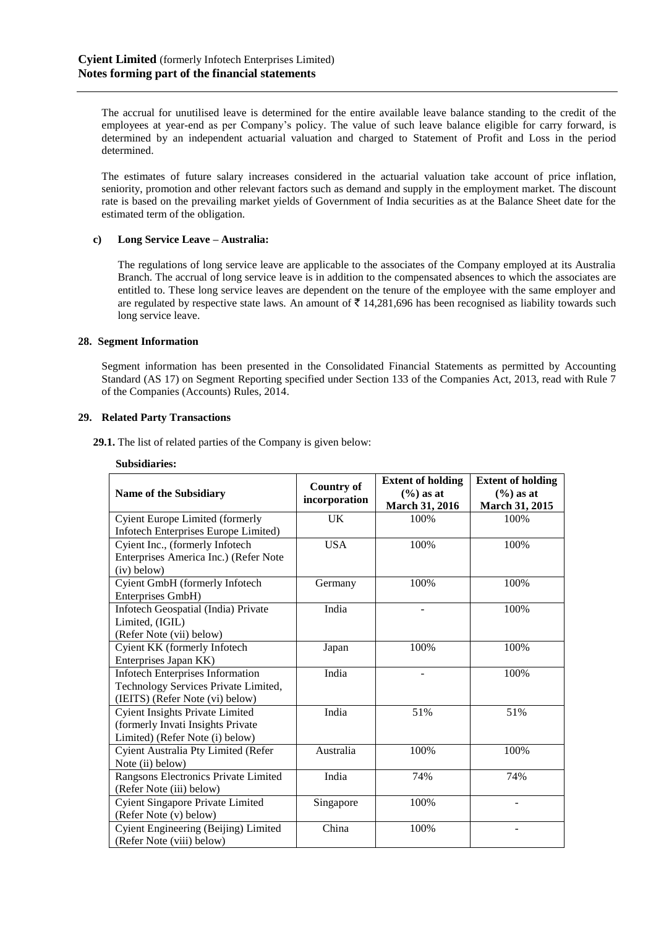The accrual for unutilised leave is determined for the entire available leave balance standing to the credit of the employees at year-end as per Company's policy. The value of such leave balance eligible for carry forward, is determined by an independent actuarial valuation and charged to Statement of Profit and Loss in the period determined.

The estimates of future salary increases considered in the actuarial valuation take account of price inflation, seniority, promotion and other relevant factors such as demand and supply in the employment market. The discount rate is based on the prevailing market yields of Government of India securities as at the Balance Sheet date for the estimated term of the obligation.

# **c) Long Service Leave – Australia:**

The regulations of long service leave are applicable to the associates of the Company employed at its Australia Branch. The accrual of long service leave is in addition to the compensated absences to which the associates are entitled to. These long service leaves are dependent on the tenure of the employee with the same employer and are regulated by respective state laws. An amount of  $\bar{\tau}$  14,281,696 has been recognised as liability towards such long service leave.

## **28. Segment Information**

Segment information has been presented in the Consolidated Financial Statements as permitted by Accounting Standard (AS 17) on Segment Reporting specified under Section 133 of the Companies Act, 2013, read with Rule 7 of the Companies (Accounts) Rules, 2014.

## **29. Related Party Transactions**

**29.1.** The list of related parties of the Company is given below:

#### **Subsidiaries:**

| <b>Name of the Subsidiary</b>           | <b>Country of</b><br>incorporation | <b>Extent of holding</b><br>$(\%)$ as at<br>March 31, 2016 | <b>Extent of holding</b><br>$(\% )$ as at<br>March 31, 2015 |
|-----------------------------------------|------------------------------------|------------------------------------------------------------|-------------------------------------------------------------|
| <b>Cyient Europe Limited (formerly</b>  | <b>UK</b>                          | 100%                                                       | 100%                                                        |
| Infotech Enterprises Europe Limited)    |                                    |                                                            |                                                             |
| Cyient Inc., (formerly Infotech         | <b>USA</b>                         | 100%                                                       | 100%                                                        |
| Enterprises America Inc.) (Refer Note   |                                    |                                                            |                                                             |
| (iv) below)                             |                                    |                                                            |                                                             |
| Cyient GmbH (formerly Infotech          | Germany                            | 100%                                                       | 100%                                                        |
| Enterprises GmbH)                       |                                    |                                                            |                                                             |
| Infotech Geospatial (India) Private     | India                              |                                                            | 100%                                                        |
| Limited, (IGIL)                         |                                    |                                                            |                                                             |
| (Refer Note (vii) below)                |                                    |                                                            |                                                             |
| Cyient KK (formerly Infotech            | Japan                              | 100%                                                       | 100%                                                        |
| Enterprises Japan KK)                   |                                    |                                                            |                                                             |
| <b>Infotech Enterprises Information</b> | India                              |                                                            | 100%                                                        |
| Technology Services Private Limited,    |                                    |                                                            |                                                             |
| (IEITS) (Refer Note (vi) below)         |                                    |                                                            |                                                             |
| <b>Cyient Insights Private Limited</b>  | India                              | 51%                                                        | 51%                                                         |
| (formerly Invati Insights Private       |                                    |                                                            |                                                             |
| Limited) (Refer Note (i) below)         |                                    |                                                            |                                                             |
| Cyient Australia Pty Limited (Refer     | Australia                          | 100%                                                       | 100%                                                        |
| Note (ii) below)                        |                                    |                                                            |                                                             |
| Rangsons Electronics Private Limited    | India                              | 74%                                                        | 74%                                                         |
| (Refer Note (iii) below)                |                                    |                                                            |                                                             |
| <b>Cyient Singapore Private Limited</b> | Singapore                          | 100%                                                       |                                                             |
| (Refer Note (v) below)                  |                                    |                                                            |                                                             |
| Cyient Engineering (Beijing) Limited    | China                              | 100%                                                       |                                                             |
| (Refer Note (viii) below)               |                                    |                                                            |                                                             |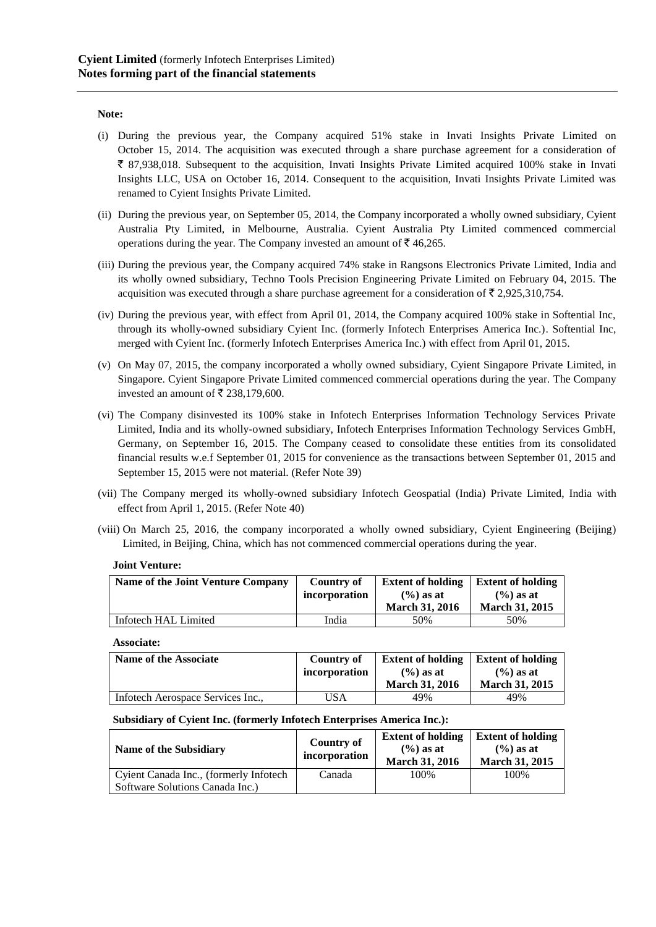## **Note:**

- (i) During the previous year, the Company acquired 51% stake in Invati Insights Private Limited on October 15, 2014. The acquisition was executed through a share purchase agreement for a consideration of  $\bar{\xi}$  87,938,018. Subsequent to the acquisition, Invati Insights Private Limited acquired 100% stake in Invati Insights LLC, USA on October 16, 2014. Consequent to the acquisition, Invati Insights Private Limited was renamed to Cyient Insights Private Limited.
- (ii) During the previous year, on September 05, 2014, the Company incorporated a wholly owned subsidiary, Cyient Australia Pty Limited, in Melbourne, Australia. Cyient Australia Pty Limited commenced commercial operations during the year. The Company invested an amount of  $\bar{\mathfrak{g}}$  46,265.
- (iii) During the previous year, the Company acquired 74% stake in Rangsons Electronics Private Limited, India and its wholly owned subsidiary, Techno Tools Precision Engineering Private Limited on February 04, 2015. The acquisition was executed through a share purchase agreement for a consideration of  $\bar{\tau}$  2,925,310,754.
- (iv) During the previous year, with effect from April 01, 2014, the Company acquired 100% stake in Softential Inc, through its wholly-owned subsidiary Cyient Inc. (formerly Infotech Enterprises America Inc.). Softential Inc, merged with Cyient Inc. (formerly Infotech Enterprises America Inc.) with effect from April 01, 2015.
- (v) On May 07, 2015, the company incorporated a wholly owned subsidiary, Cyient Singapore Private Limited, in Singapore. Cyient Singapore Private Limited commenced commercial operations during the year. The Company invested an amount of ₹ 238,179,600.
- (vi) The Company disinvested its 100% stake in Infotech Enterprises Information Technology Services Private Limited, India and its wholly-owned subsidiary, Infotech Enterprises Information Technology Services GmbH, Germany, on September 16, 2015. The Company ceased to consolidate these entities from its consolidated financial results w.e.f September 01, 2015 for convenience as the transactions between September 01, 2015 and September 15, 2015 were not material. (Refer Note 39)
- (vii) The Company merged its wholly-owned subsidiary Infotech Geospatial (India) Private Limited, India with effect from April 1, 2015. (Refer Note 40)
- (viii) On March 25, 2016, the company incorporated a wholly owned subsidiary, Cyient Engineering (Beijing) Limited, in Beijing, China, which has not commenced commercial operations during the year.

#### **Joint Venture:**

| Name of the Joint Venture Company | <b>Country of</b> | <b>Extent of holding</b> | <b>Extent of holding</b> |
|-----------------------------------|-------------------|--------------------------|--------------------------|
|                                   | incorporation     | $(% )$ as at             | $(\% )$ as at            |
|                                   |                   | <b>March 31, 2016</b>    | <b>March 31, 2015</b>    |
| Infotech HAL Limited              | India             | 50%                      | 50%                      |

**Associate:**

| Name of the Associate             | Country of    | <b>Extent of holding</b>                       | <b>Extent of holding</b>              |
|-----------------------------------|---------------|------------------------------------------------|---------------------------------------|
|                                   | incorporation | $(\frac{6}{6})$ as at<br><b>March 31, 2016</b> | $(%$ ) as at<br><b>March 31, 2015</b> |
| Infotech Aerospace Services Inc., | USA           | 49%                                            | 49%                                   |

# **Subsidiary of Cyient Inc. (formerly Infotech Enterprises America Inc.):**

| Name of the Subsidiary                 | <b>Country of</b><br>incorporation | <b>Extent of holding</b><br>$(\frac{6}{6})$ as at<br><b>March 31, 2016</b> | <b>Extent of holding</b><br>$(\% )$ as at<br><b>March 31, 2015</b> |
|----------------------------------------|------------------------------------|----------------------------------------------------------------------------|--------------------------------------------------------------------|
| Cyient Canada Inc., (formerly Infotech | Canada                             | 100%                                                                       | 100%                                                               |
| Software Solutions Canada Inc.)        |                                    |                                                                            |                                                                    |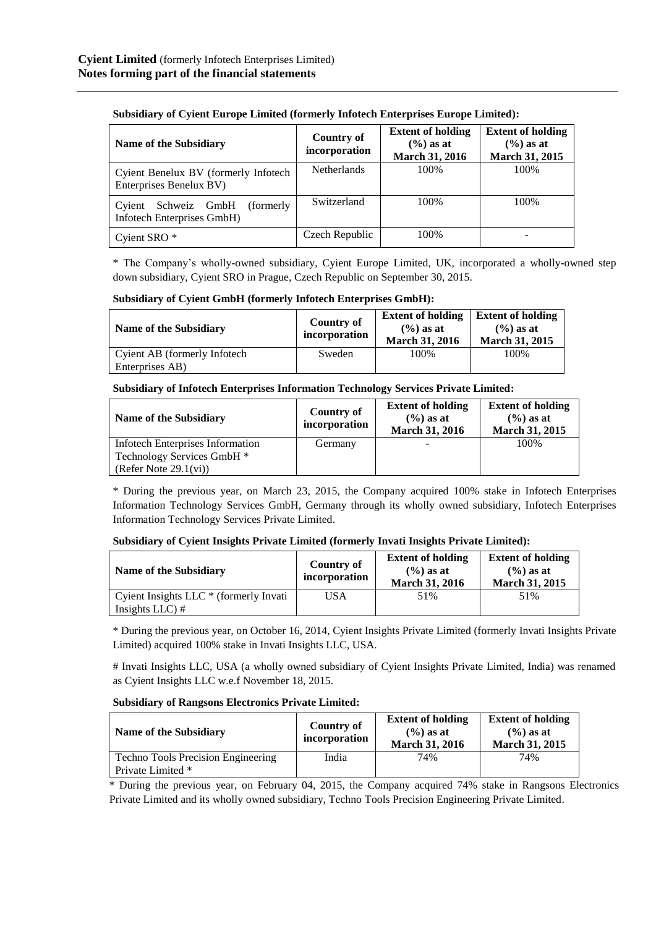| Name of the Subsidiary                                             | <b>Country of</b><br>incorporation | <b>Extent of holding</b><br>$(\% )$ as at<br><b>March 31, 2016</b> | <b>Extent of holding</b><br>$(\% )$ as at<br>March 31, 2015 |
|--------------------------------------------------------------------|------------------------------------|--------------------------------------------------------------------|-------------------------------------------------------------|
| Cyient Benelux BV (formerly Infotech<br>Enterprises Benelux BV)    | <b>Netherlands</b>                 | 100\%                                                              | 100\%                                                       |
| Schweiz GmbH<br>(formerly)<br>Cyient<br>Infotech Enterprises GmbH) | Switzerland                        | 100%                                                               | 100\%                                                       |
| Cyient SRO <sup>*</sup>                                            | Czech Republic                     | 100%                                                               |                                                             |

**Subsidiary of Cyient Europe Limited (formerly Infotech Enterprises Europe Limited):**

\* The Company's wholly-owned subsidiary, Cyient Europe Limited, UK, incorporated a wholly-owned step down subsidiary, Cyient SRO in Prague, Czech Republic on September 30, 2015.

**Subsidiary of Cyient GmbH (formerly Infotech Enterprises GmbH):**

| Name of the Subsidiary       | Country of<br>incorporation | <b>Extent of holding</b><br>$(\% )$ as at<br><b>March 31, 2016</b> | <b>Extent of holding</b><br>$(\frac{6}{6})$ as at<br><b>March 31, 2015</b> |
|------------------------------|-----------------------------|--------------------------------------------------------------------|----------------------------------------------------------------------------|
| Cyient AB (formerly Infotech | Sweden                      | 100%                                                               | 100%                                                                       |
| Enterprises AB)              |                             |                                                                    |                                                                            |

# **Subsidiary of Infotech Enterprises Information Technology Services Private Limited:**

| Name of the Subsidiary                                                                         | Country of<br>incorporation | <b>Extent of holding</b><br>$(\frac{6}{6})$ as at<br><b>March 31, 2016</b> | <b>Extent of holding</b><br>$(\% )$ as at<br><b>March 31, 2015</b> |
|------------------------------------------------------------------------------------------------|-----------------------------|----------------------------------------------------------------------------|--------------------------------------------------------------------|
| <b>Infotech Enterprises Information</b><br>Technology Services GmbH *<br>(Refer Note 29.1(vi)) | Germany                     |                                                                            | 100%                                                               |

\* During the previous year, on March 23, 2015, the Company acquired 100% stake in Infotech Enterprises Information Technology Services GmbH, Germany through its wholly owned subsidiary, Infotech Enterprises Information Technology Services Private Limited.

# **Subsidiary of Cyient Insights Private Limited (formerly Invati Insights Private Limited):**

| Name of the Subsidiary                                                | Country of<br>incorporation | <b>Extent of holding</b><br>$(\% )$ as at<br><b>March 31, 2016</b> | <b>Extent of holding</b><br>$(\% )$ as at<br><b>March 31, 2015</b> |
|-----------------------------------------------------------------------|-----------------------------|--------------------------------------------------------------------|--------------------------------------------------------------------|
| $\mid$ Cyient Insights LLC $*$ (formerly Invati<br>Insights $LLC$ ) # | USA                         | 51%                                                                | 51%                                                                |

\* During the previous year, on October 16, 2014, Cyient Insights Private Limited (formerly Invati Insights Private Limited) acquired 100% stake in Invati Insights LLC, USA.

# Invati Insights LLC, USA (a wholly owned subsidiary of Cyient Insights Private Limited, India) was renamed as Cyient Insights LLC w.e.f November 18, 2015.

# **Subsidiary of Rangsons Electronics Private Limited:**

| Name of the Subsidiary             | Country of<br>incorporation | <b>Extent of holding</b><br>$(\% )$ as at<br><b>March 31, 2016</b> | <b>Extent of holding</b><br>$(\% )$ as at<br><b>March 31, 2015</b> |
|------------------------------------|-----------------------------|--------------------------------------------------------------------|--------------------------------------------------------------------|
| Techno Tools Precision Engineering | India                       | 74%                                                                | 74%                                                                |
| Private Limited *                  |                             |                                                                    |                                                                    |

\* During the previous year, on February 04, 2015, the Company acquired 74% stake in Rangsons Electronics Private Limited and its wholly owned subsidiary, Techno Tools Precision Engineering Private Limited.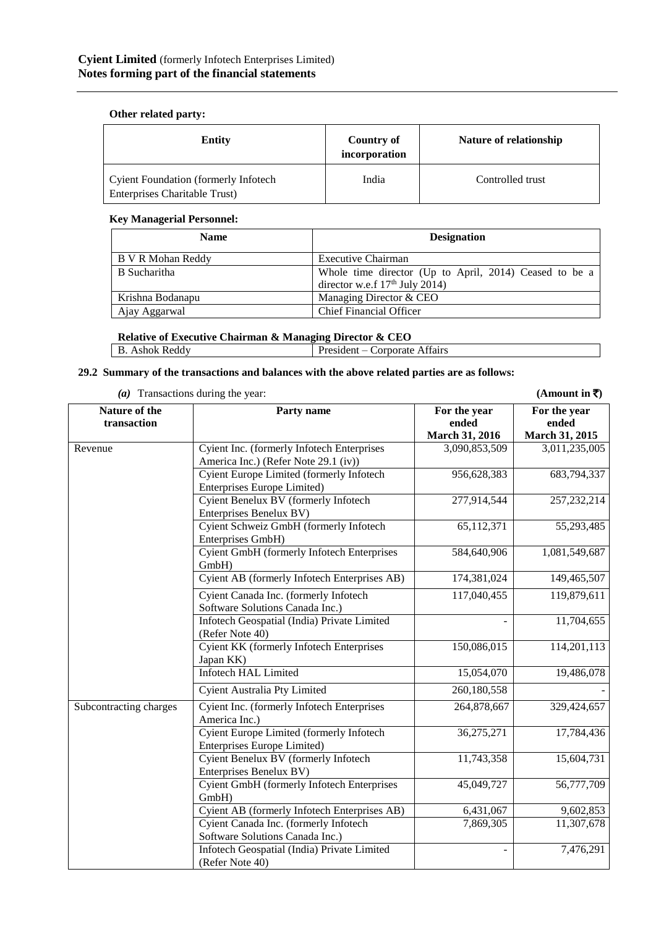# **Other related party:**

| <b>Entity</b>                                                         | Country of<br>incorporation | Nature of relationship |
|-----------------------------------------------------------------------|-----------------------------|------------------------|
| Cyient Foundation (formerly Infotech<br>Enterprises Charitable Trust) | India                       | Controlled trust       |

# **Key Managerial Personnel:**

| <b>Name</b>       | <b>Designation</b>                                                                         |  |  |
|-------------------|--------------------------------------------------------------------------------------------|--|--|
| B V R Mohan Reddy | Executive Chairman                                                                         |  |  |
| B Sucharitha      | Whole time director (Up to April, 2014) Ceased to be a<br>director w.e.f $17th$ July 2014) |  |  |
| Krishna Bodanapu  | Managing Director & CEO                                                                    |  |  |
| Ajay Aggarwal     | <b>Chief Financial Officer</b>                                                             |  |  |

# **Relative of Executive Chairman & Managing Director & CEO**

| Ashok Reddv | $\sim$<br>President<br>Attairs<br>Corporate |
|-------------|---------------------------------------------|

# **29.2 Summary of the transactions and balances with the above related parties are as follows:**

(a) Transactions during the year: (Amount in  $\overline{\zeta}$ )

**Nature of the transaction Party name For the year ended March 31, 2016 For the year ended March 31, 2015** Revenue Cyient Inc. (formerly Infotech Enterprises America Inc.) (Refer Note 29.1 (iv)) 3,090,853,509 3,011,235,005 Cyient Europe Limited (formerly Infotech Enterprises Europe Limited) 956,628,383 683,794,337 Cyient Benelux BV (formerly Infotech Enterprises Benelux BV) 277,914,544 257,232,214 Cyient Schweiz GmbH (formerly Infotech Enterprises GmbH) 65,112,371 55,293,485 Cyient GmbH (formerly Infotech Enterprises GmbH) 584,640,906 1,081,549,687 Cyient AB (formerly Infotech Enterprises AB) 174,381,024 149,465,507 Cyient Canada Inc. (formerly Infotech Software Solutions Canada Inc.) 117,040,455 119,879,611 Infotech Geospatial (India) Private Limited (Refer Note 40)  $-11,704,655$ Cyient KK (formerly Infotech Enterprises Japan KK) 150,086,015 114,201,113 Infotech HAL Limited 15,054,070 19,486,078 Cyient Australia Pty Limited 260,180,558 Subcontracting charges Cyient Inc. (formerly Infotech Enterprises America Inc.) 329,424,657 Cyient Europe Limited (formerly Infotech Enterprises Europe Limited) 36,275,271 17,784,436 Cyient Benelux BV (formerly Infotech Enterprises Benelux BV) 11,743,358 15,604,731 Cyient GmbH (formerly Infotech Enterprises GmbH) 45,049,727 56,777,709 Cyient AB (formerly Infotech Enterprises AB) 6,431,067 9,602,853 Cyient Canada Inc. (formerly Infotech Software Solutions Canada Inc.) 7,869,305 11,307,678 Infotech Geospatial (India) Private Limited (Refer Note 40) - 7,476,291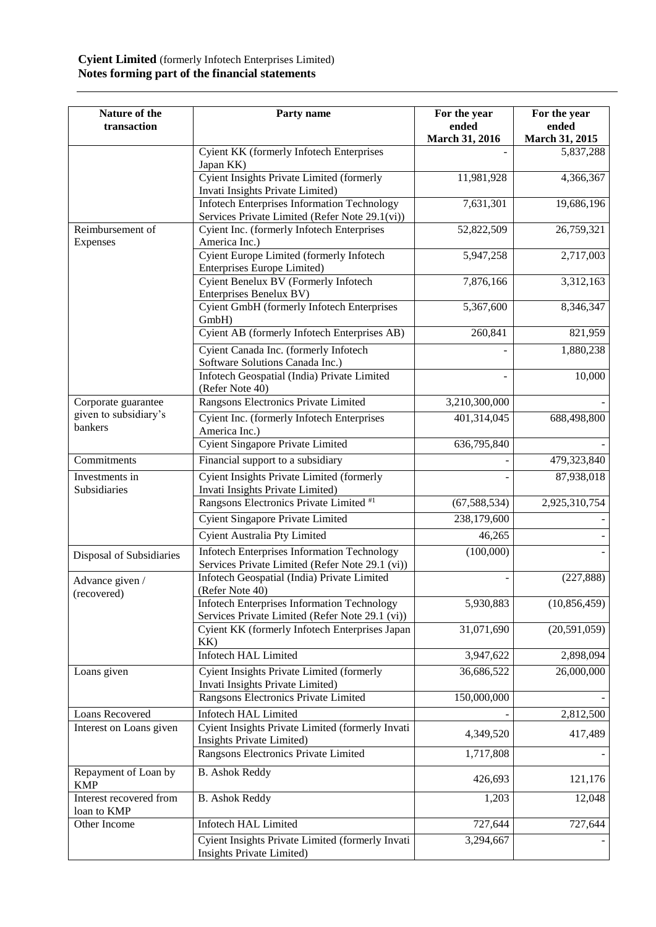# **Cyient Limited** (formerly Infotech Enterprises Limited) **Notes forming part of the financial statements**

| Nature of the<br>transaction           | Party name                                                                                            | For the year<br>ended<br>March 31, 2016 | For the year<br>ended<br>March 31, 2015 |
|----------------------------------------|-------------------------------------------------------------------------------------------------------|-----------------------------------------|-----------------------------------------|
|                                        | Cyient KK (formerly Infotech Enterprises<br>Japan KK)                                                 |                                         | 5,837,288                               |
|                                        | Cyient Insights Private Limited (formerly<br>Invati Insights Private Limited)                         | 11,981,928                              | 4,366,367                               |
|                                        | <b>Infotech Enterprises Information Technology</b><br>Services Private Limited (Refer Note 29.1(vi))  | 7,631,301                               | 19,686,196                              |
| Reimbursement of<br>Expenses           | Cyient Inc. (formerly Infotech Enterprises<br>America Inc.)                                           | 52,822,509                              | 26,759,321                              |
|                                        | Cyient Europe Limited (formerly Infotech<br>Enterprises Europe Limited)                               | 5,947,258                               | 2,717,003                               |
|                                        | Cyient Benelux BV (Formerly Infotech<br>Enterprises Benelux BV)                                       | 7,876,166                               | 3,312,163                               |
|                                        | Cyient GmbH (formerly Infotech Enterprises<br>GmbH)                                                   | 5,367,600                               | 8,346,347                               |
|                                        | Cyient AB (formerly Infotech Enterprises AB)                                                          | 260,841                                 | 821,959                                 |
|                                        | Cyient Canada Inc. (formerly Infotech<br>Software Solutions Canada Inc.)                              |                                         | 1,880,238                               |
|                                        | Infotech Geospatial (India) Private Limited<br>(Refer Note 40)                                        |                                         | 10,000                                  |
| Corporate guarantee                    | Rangsons Electronics Private Limited                                                                  | 3,210,300,000                           |                                         |
| given to subsidiary's<br>bankers       | Cyient Inc. (formerly Infotech Enterprises<br>America Inc.)                                           | 401,314,045                             | 688,498,800                             |
|                                        | <b>Cyient Singapore Private Limited</b>                                                               | 636,795,840                             |                                         |
| Commitments                            | Financial support to a subsidiary                                                                     |                                         | 479,323,840                             |
| Investments in<br>Subsidiaries         | Cyient Insights Private Limited (formerly<br>Invati Insights Private Limited)                         |                                         | 87,938,018                              |
|                                        | Rangsons Electronics Private Limited #1                                                               | (67, 588, 534)                          | 2,925,310,754                           |
|                                        | <b>Cyient Singapore Private Limited</b>                                                               | 238,179,600                             |                                         |
|                                        | Cyient Australia Pty Limited                                                                          | 46,265                                  |                                         |
| Disposal of Subsidiaries               | <b>Infotech Enterprises Information Technology</b><br>Services Private Limited (Refer Note 29.1 (vi)) | (100,000)                               |                                         |
| Advance given /<br>(recovered)         | Infotech Geospatial (India) Private Limited<br>(Refer Note 40)                                        |                                         | (227, 888)                              |
|                                        | <b>Infotech Enterprises Information Technology</b><br>Services Private Limited (Refer Note 29.1 (vi)) | 5,930,883                               | (10, 856, 459)                          |
|                                        | Cyient KK (formerly Infotech Enterprises Japan<br>KK)                                                 | 31,071,690                              | (20,591,059)                            |
|                                        | <b>Infotech HAL Limited</b>                                                                           | 3,947,622                               | 2,898,094                               |
| Loans given                            | Cyient Insights Private Limited (formerly<br>Invati Insights Private Limited)                         | 36,686,522                              | 26,000,000                              |
|                                        | Rangsons Electronics Private Limited                                                                  | 150,000,000                             |                                         |
| Loans Recovered                        | <b>Infotech HAL Limited</b>                                                                           |                                         | 2,812,500                               |
| Interest on Loans given                | Cyient Insights Private Limited (formerly Invati<br>Insights Private Limited)                         | 4,349,520                               | 417,489                                 |
|                                        | Rangsons Electronics Private Limited                                                                  | 1,717,808                               |                                         |
| Repayment of Loan by<br><b>KMP</b>     | <b>B.</b> Ashok Reddy                                                                                 | 426,693                                 | 121,176                                 |
| Interest recovered from<br>loan to KMP | <b>B.</b> Ashok Reddy                                                                                 | 1,203                                   | 12,048                                  |
| Other Income                           | <b>Infotech HAL Limited</b>                                                                           | 727,644                                 | 727,644                                 |
|                                        | Cyient Insights Private Limited (formerly Invati<br>Insights Private Limited)                         | 3,294,667                               |                                         |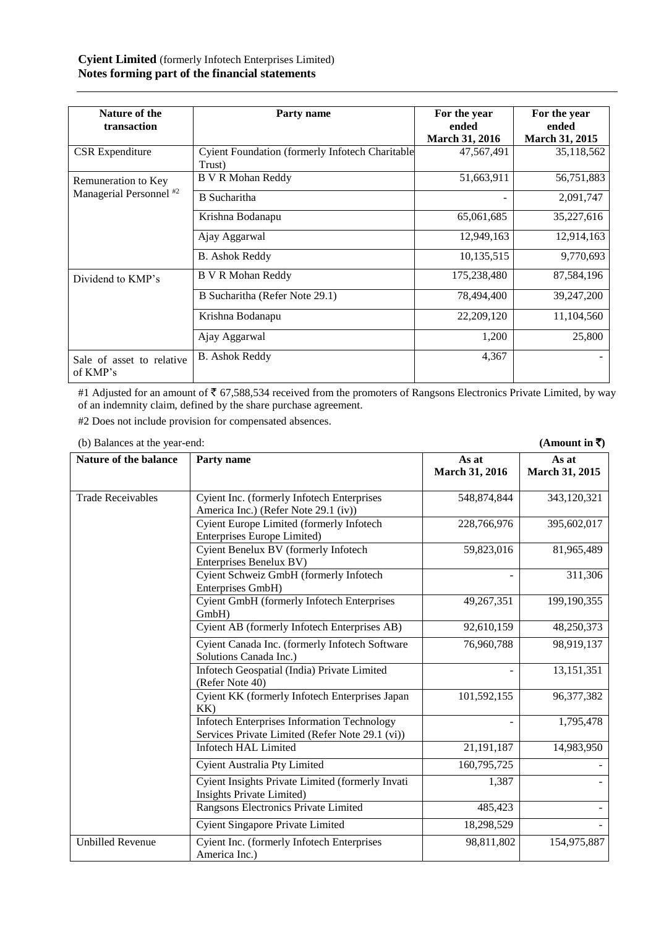| Nature of the                         |                                                         |                          |                       |
|---------------------------------------|---------------------------------------------------------|--------------------------|-----------------------|
|                                       | Party name                                              | For the year             | For the year          |
| transaction                           |                                                         | ended                    | ended                 |
|                                       |                                                         | <b>March 31, 2016</b>    | <b>March 31, 2015</b> |
| <b>CSR</b> Expenditure                | <b>Cyient Foundation (formerly Infotech Charitable)</b> | 47,567,491               | 35,118,562            |
|                                       | Trust)                                                  |                          |                       |
| Remuneration to Key                   | B V R Mohan Reddy                                       | 51,663,911               | 56,751,883            |
| Managerial Personnel <sup>#2</sup>    | <b>B</b> Sucharitha                                     | $\overline{\phantom{a}}$ | 2,091,747             |
|                                       | Krishna Bodanapu                                        | 65,061,685               | 35,227,616            |
|                                       | Ajay Aggarwal                                           | 12,949,163               | 12,914,163            |
|                                       | <b>B.</b> Ashok Reddy                                   | 10,135,515               | 9,770,693             |
| Dividend to KMP's                     | <b>B V R Mohan Reddy</b>                                | 175,238,480              | 87,584,196            |
|                                       | B Sucharitha (Refer Note 29.1)                          | 78,494,400               | 39,247,200            |
|                                       | Krishna Bodanapu                                        | 22,209,120               | 11,104,560            |
|                                       | Ajay Aggarwal                                           | 1,200                    | 25,800                |
| Sale of asset to relative<br>of KMP's | <b>B.</b> Ashok Reddy                                   | 4,367                    |                       |

#1 Adjusted for an amount of  $\bar{5}$  67,588,534 received from the promoters of Rangsons Electronics Private Limited, by way of an indemnity claim, defined by the share purchase agreement.

#2 Does not include provision for compensated absences.

| (0) Dalamets at the year-cilu. |                                                                                                       |                         | (A)                     |
|--------------------------------|-------------------------------------------------------------------------------------------------------|-------------------------|-------------------------|
| <b>Nature of the balance</b>   | Party name                                                                                            | As at<br>March 31, 2016 | As at<br>March 31, 2015 |
| <b>Trade Receivables</b>       | Cyient Inc. (formerly Infotech Enterprises<br>America Inc.) (Refer Note 29.1 (iv))                    | 548,874,844             | 343,120,321             |
|                                | Cyient Europe Limited (formerly Infotech<br>Enterprises Europe Limited)                               | 228,766,976             | 395,602,017             |
|                                | Cyient Benelux BV (formerly Infotech<br>Enterprises Benelux BV)                                       | 59,823,016              | 81,965,489              |
|                                | Cyient Schweiz GmbH (formerly Infotech<br>Enterprises GmbH)                                           |                         | 311,306                 |
|                                | Cyient GmbH (formerly Infotech Enterprises<br>GmbH)                                                   | 49,267,351              | 199,190,355             |
|                                | Cyient AB (formerly Infotech Enterprises AB)                                                          | 92,610,159              | 48,250,373              |
|                                | Cyient Canada Inc. (formerly Infotech Software<br>Solutions Canada Inc.)                              | 76,960,788              | 98,919,137              |
|                                | Infotech Geospatial (India) Private Limited<br>(Refer Note 40)                                        |                         | 13, 151, 351            |
|                                | Cyient KK (formerly Infotech Enterprises Japan<br>KK                                                  | 101,592,155             | 96,377,382              |
|                                | <b>Infotech Enterprises Information Technology</b><br>Services Private Limited (Refer Note 29.1 (vi)) |                         | 1,795,478               |
|                                | <b>Infotech HAL Limited</b>                                                                           | 21,191,187              | 14,983,950              |
|                                | Cyient Australia Pty Limited                                                                          | 160,795,725             |                         |
|                                | Cyient Insights Private Limited (formerly Invati<br>Insights Private Limited)                         | 1,387                   |                         |
|                                | Rangsons Electronics Private Limited                                                                  | 485,423                 |                         |
|                                | <b>Cyient Singapore Private Limited</b>                                                               | 18,298,529              |                         |
| <b>Unbilled Revenue</b>        | Cyient Inc. (formerly Infotech Enterprises<br>America Inc.)                                           | 98,811,802              | 154,975,887             |

(b) Balances at the year-end: **(Amount in**  $\overline{z}$ **)**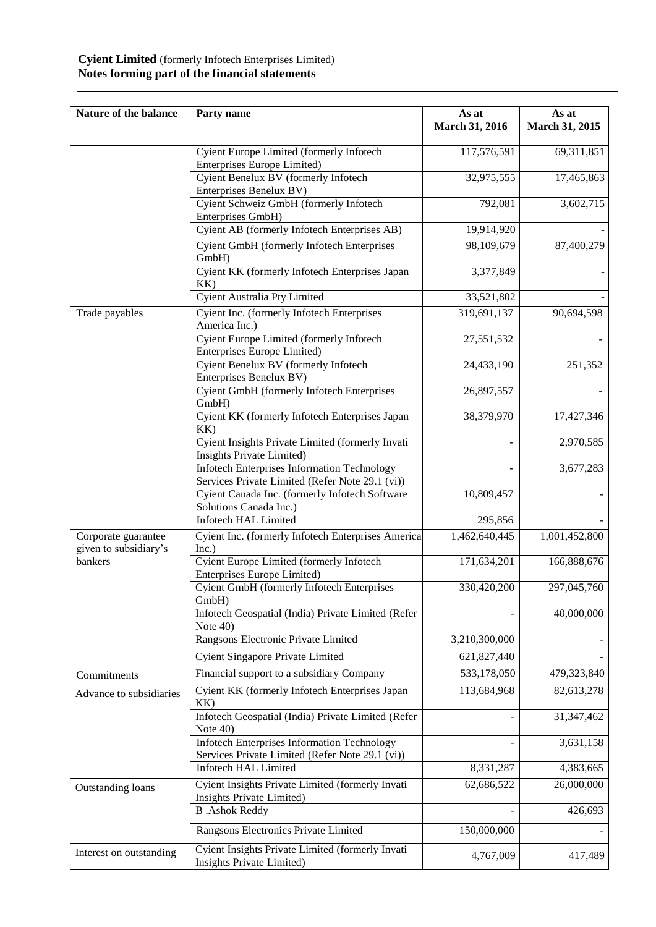# **Cyient Limited** (formerly Infotech Enterprises Limited) **Notes forming part of the financial statements**

| Nature of the balance                                                                              | Party name                                                                                            | As at<br>March 31, 2016 | As at<br>March 31, 2015 |
|----------------------------------------------------------------------------------------------------|-------------------------------------------------------------------------------------------------------|-------------------------|-------------------------|
|                                                                                                    | Cyient Europe Limited (formerly Infotech<br>Enterprises Europe Limited)                               | 117,576,591             | 69,311,851              |
|                                                                                                    | Cyient Benelux BV (formerly Infotech<br>Enterprises Benelux BV)                                       | 32,975,555              | 17,465,863              |
|                                                                                                    | Cyient Schweiz GmbH (formerly Infotech<br>Enterprises GmbH)                                           | 792,081                 | 3,602,715               |
|                                                                                                    | Cyient AB (formerly Infotech Enterprises AB)                                                          | 19,914,920              |                         |
|                                                                                                    | <b>Cyient GmbH</b> (formerly Infotech Enterprises<br>GmbH)                                            | 98,109,679              | 87,400,279              |
|                                                                                                    | Cyient KK (formerly Infotech Enterprises Japan<br>KK)                                                 | 3,377,849               |                         |
|                                                                                                    | Cyient Australia Pty Limited                                                                          | 33,521,802              |                         |
| Trade payables                                                                                     | Cyient Inc. (formerly Infotech Enterprises<br>America Inc.)                                           | 319,691,137             | 90,694,598              |
|                                                                                                    | Cyient Europe Limited (formerly Infotech<br><b>Enterprises Europe Limited)</b>                        | 27,551,532              |                         |
|                                                                                                    | Cyient Benelux BV (formerly Infotech<br>Enterprises Benelux BV)                                       | 24,433,190              | 251,352                 |
|                                                                                                    | <b>Cyient GmbH</b> (formerly Infotech Enterprises<br>GmbH)                                            | 26,897,557              |                         |
|                                                                                                    | Cyient KK (formerly Infotech Enterprises Japan<br>KK)                                                 | 38,379,970              | 17,427,346              |
|                                                                                                    | Cyient Insights Private Limited (formerly Invati<br>Insights Private Limited)                         |                         | 2,970,585               |
|                                                                                                    | <b>Infotech Enterprises Information Technology</b>                                                    |                         | 3,677,283               |
|                                                                                                    | Services Private Limited (Refer Note 29.1 (vi))                                                       |                         |                         |
|                                                                                                    | Cyient Canada Inc. (formerly Infotech Software<br>Solutions Canada Inc.)                              | 10,809,457              |                         |
|                                                                                                    | <b>Infotech HAL Limited</b>                                                                           | 295,856                 |                         |
| Corporate guarantee<br>given to subsidiary's                                                       | Cyient Inc. (formerly Infotech Enterprises America<br>Inc.)                                           | 1,462,640,445           | 1,001,452,800           |
| bankers                                                                                            | <b>Cyient Europe Limited (formerly Infotech</b><br>Enterprises Europe Limited)                        | 171,634,201             | 166,888,676             |
|                                                                                                    | Cyient GmbH (formerly Infotech Enterprises<br>GmbH)                                                   | 330,420,200             | 297,045,760             |
|                                                                                                    | Infotech Geospatial (India) Private Limited (Refer<br>Note 40)                                        |                         | 40,000,000              |
|                                                                                                    | Rangsons Electronic Private Limited                                                                   | 3,210,300,000           |                         |
|                                                                                                    | Cyient Singapore Private Limited                                                                      | 621,827,440             |                         |
| Commitments                                                                                        | Financial support to a subsidiary Company                                                             | 533,178,050             | 479,323,840             |
| Advance to subsidiaries                                                                            | Cyient KK (formerly Infotech Enterprises Japan<br>KK)                                                 | 113,684,968             | 82,613,278              |
|                                                                                                    | Infotech Geospatial (India) Private Limited (Refer<br>Note $40$ )                                     |                         | 31,347,462              |
|                                                                                                    | <b>Infotech Enterprises Information Technology</b><br>Services Private Limited (Refer Note 29.1 (vi)) |                         | 3,631,158               |
|                                                                                                    | <b>Infotech HAL Limited</b>                                                                           | 8,331,287               | 4,383,665               |
| Cyient Insights Private Limited (formerly Invati<br>Outstanding loans<br>Insights Private Limited) |                                                                                                       | 62,686,522              | 26,000,000              |
|                                                                                                    | <b>B</b> .Ashok Reddy                                                                                 |                         | 426,693                 |
|                                                                                                    | Rangsons Electronics Private Limited                                                                  | 150,000,000             |                         |
| Interest on outstanding                                                                            | Cyient Insights Private Limited (formerly Invati<br>Insights Private Limited)                         | 4,767,009               | 417,489                 |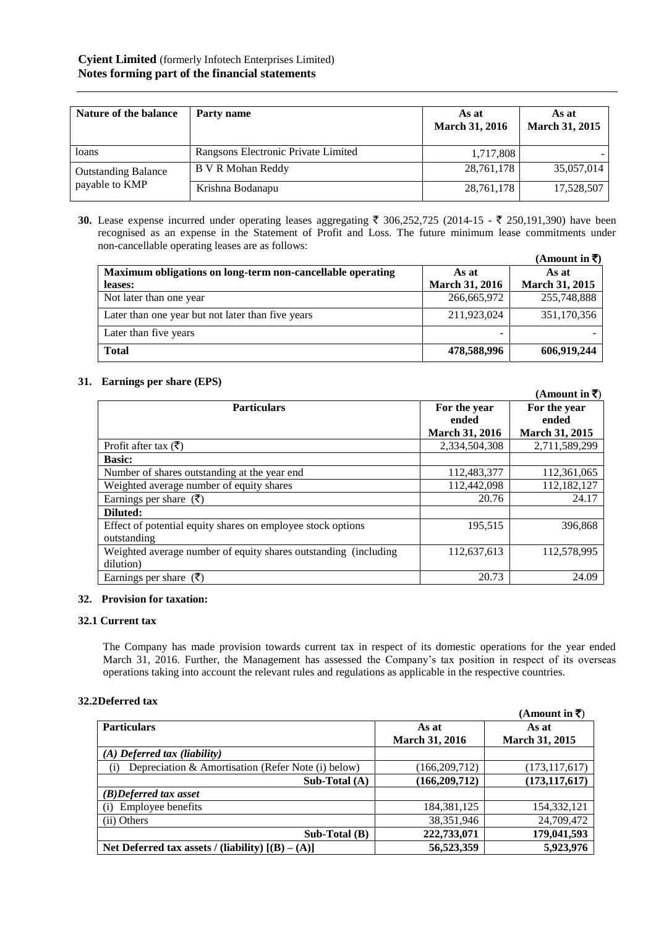| Nature of the balance      | Party name                          | As at<br><b>March 31, 2016</b> | As at<br><b>March 31, 2015</b> |
|----------------------------|-------------------------------------|--------------------------------|--------------------------------|
| loans                      | Rangsons Electronic Private Limited | 1,717,808                      |                                |
| <b>Outstanding Balance</b> | <b>B V R Mohan Reddy</b>            | 28,761,178                     | 35,057,014                     |
| payable to KMP             | Krishna Bodanapu                    | 28,761,178                     | 17,528,507                     |

**30.** Lease expense incurred under operating leases aggregating  $\bar{\xi}$  306,252,725 (2014-15 -  $\bar{\xi}$  250,191,390) have been recognised as an expense in the Statement of Profit and Loss. The future minimum lease commitments under non-cancellable operating leases are as follows:

|                                                            |                       | (Amount in $\bar{\bar{\mathbf{x}}}$ ) |
|------------------------------------------------------------|-----------------------|---------------------------------------|
| Maximum obligations on long-term non-cancellable operating | As at                 | As at                                 |
| leases:                                                    | <b>March 31, 2016</b> | <b>March 31, 2015</b>                 |
| Not later than one year                                    | 266,665,972           | 255,748,888                           |
| Later than one year but not later than five years          | 211,923,024           | 351,170,356                           |
| Later than five years                                      |                       |                                       |
| <b>Total</b>                                               | 478,588,996           | 606,919,244                           |

# **31. Earnings per share (EPS)**

|                                                                  |                       | (Amount in ₹)         |
|------------------------------------------------------------------|-----------------------|-----------------------|
| <b>Particulars</b>                                               | For the year          | For the year          |
|                                                                  | ended                 | ended                 |
|                                                                  | <b>March 31, 2016</b> | <b>March 31, 2015</b> |
| Profit after tax $(\bar{\zeta})$                                 | 2,334,504,308         | 2,711,589,299         |
| <b>Basic:</b>                                                    |                       |                       |
| Number of shares outstanding at the year end                     | 112,483,377           | 112,361,065           |
| Weighted average number of equity shares                         | 112,442,098           | 112,182,127           |
| Earnings per share $(\bar{\zeta})$                               | 20.76                 | 24.17                 |
| Diluted:                                                         |                       |                       |
| Effect of potential equity shares on employee stock options      | 195,515               | 396.868               |
| outstanding                                                      |                       |                       |
| Weighted average number of equity shares outstanding (including) | 112,637,613           | 112,578,995           |
| dilution)                                                        |                       |                       |
| Earnings per share $(\bar{\zeta})$                               | 20.73                 | 24.09                 |

# **32. Provision for taxation:**

# **32.1 Current tax**

The Company has made provision towards current tax in respect of its domestic operations for the year ended March 31, 2016. Further, the Management has assessed the Company's tax position in respect of its overseas operations taking into account the relevant rules and regulations as applicable in the respective countries.

# **32.2Deferred tax**

|                                                           |                       | $(A$ mount in $\overline{\mathbf{z}}$ ) |
|-----------------------------------------------------------|-----------------------|-----------------------------------------|
| <b>Particulars</b>                                        | As at                 | As at                                   |
|                                                           | <b>March 31, 2016</b> | <b>March 31, 2015</b>                   |
| $(A)$ Deferred tax (liability)                            |                       |                                         |
| Depreciation & Amortisation (Refer Note (i) below)<br>(i) | (166, 209, 712)       | (173, 117, 617)                         |
| Sub-Total $(A)$                                           | (166, 209, 712)       | (173, 117, 617)                         |
| $(B)$ Deferred tax asset                                  |                       |                                         |
| Employee benefits<br>(i)                                  | 184.381.125           | 154,332,121                             |
| (ii) Others                                               | 38, 351, 946          | 24,709,472                              |
| $Sub-Total(B)$                                            | 222,733,071           | 179,041,593                             |
| Net Deferred tax assets / (liability) $[(B) - (A)]$       | 56,523,359            | 5,923,976                               |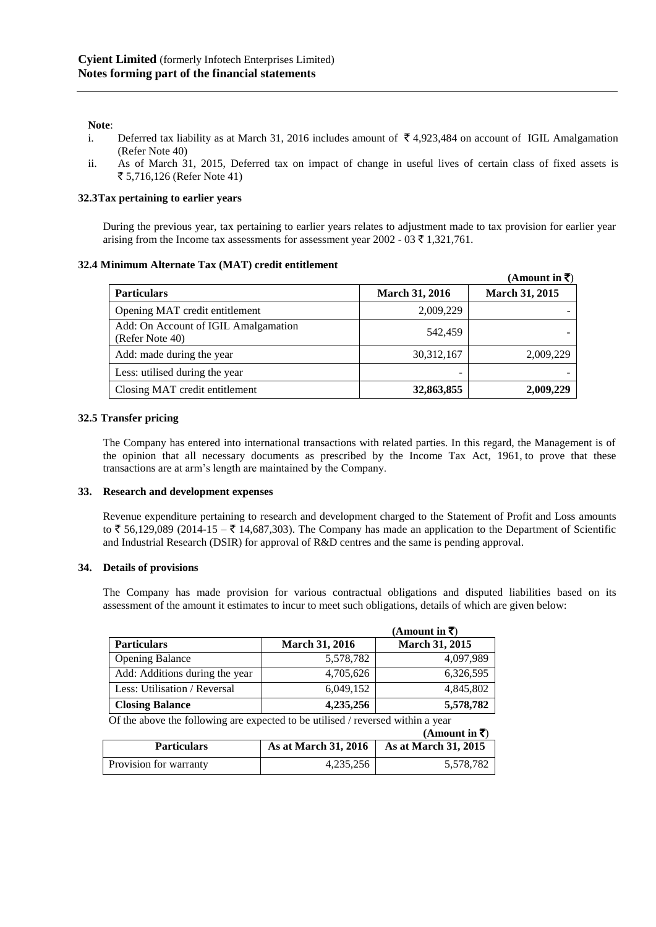## **Note**:

- i. Deferred tax liability as at March 31, 2016 includes amount of  $\bar{\tau}$  4,923,484 on account of IGIL Amalgamation (Refer Note 40)
- ii. As of March 31, 2015, Deferred tax on impact of change in useful lives of certain class of fixed assets is ` 5,716,126 (Refer Note 41)

## **32.3Tax pertaining to earlier years**

During the previous year, tax pertaining to earlier years relates to adjustment made to tax provision for earlier year arising from the Income tax assessments for assessment year 2002 - 03  $\bar{\tau}$  1,321,761.

## **32.4 Minimum Alternate Tax (MAT) credit entitlement**

|                                                         |                       | (Amount in ₹)  |
|---------------------------------------------------------|-----------------------|----------------|
| <b>Particulars</b>                                      | <b>March 31, 2016</b> | March 31, 2015 |
| Opening MAT credit entitlement                          | 2,009,229             |                |
| Add: On Account of IGIL Amalgamation<br>(Refer Note 40) | 542,459               |                |
| Add: made during the year                               | 30, 312, 167          | 2,009,229      |
| Less: utilised during the year                          | -                     |                |
| Closing MAT credit entitlement                          | 32,863,855            | 2,009,229      |

## **32.5 Transfer pricing**

The Company has entered into international transactions with related parties. In this regard, the Management is of the opinion that all necessary documents as prescribed by the Income Tax Act, 1961, to prove that these transactions are at arm's length are maintained by the Company.

#### **33. Research and development expenses**

Revenue expenditure pertaining to research and development charged to the Statement of Profit and Loss amounts to  $\bar{\xi}$  56,129,089 (2014-15 –  $\bar{\xi}$  14,687,303). The Company has made an application to the Department of Scientific and Industrial Research (DSIR) for approval of R&D centres and the same is pending approval.

#### **34. Details of provisions**

The Company has made provision for various contractual obligations and disputed liabilities based on its assessment of the amount it estimates to incur to meet such obligations, details of which are given below:

|                                |                       | (Amount in ₹)         |
|--------------------------------|-----------------------|-----------------------|
| <b>Particulars</b>             | <b>March 31, 2016</b> | <b>March 31, 2015</b> |
| <b>Opening Balance</b>         | 5,578,782             | 4,097,989             |
| Add: Additions during the year | 4,705,626             | 6,326,595             |
| Less: Utilisation / Reversal   | 6,049,152             | 4,845,802             |
| <b>Closing Balance</b>         | 4,235,256             | 5,578,782             |

Of the above the following are expected to be utilised / reversed within a year

|                        |                             | $(Amount in \bar{z})$ |
|------------------------|-----------------------------|-----------------------|
| <b>Particulars</b>     | <b>As at March 31, 2016</b> | As at March 31, 2015  |
| Provision for warranty | 4.235.256                   | 5,578,782             |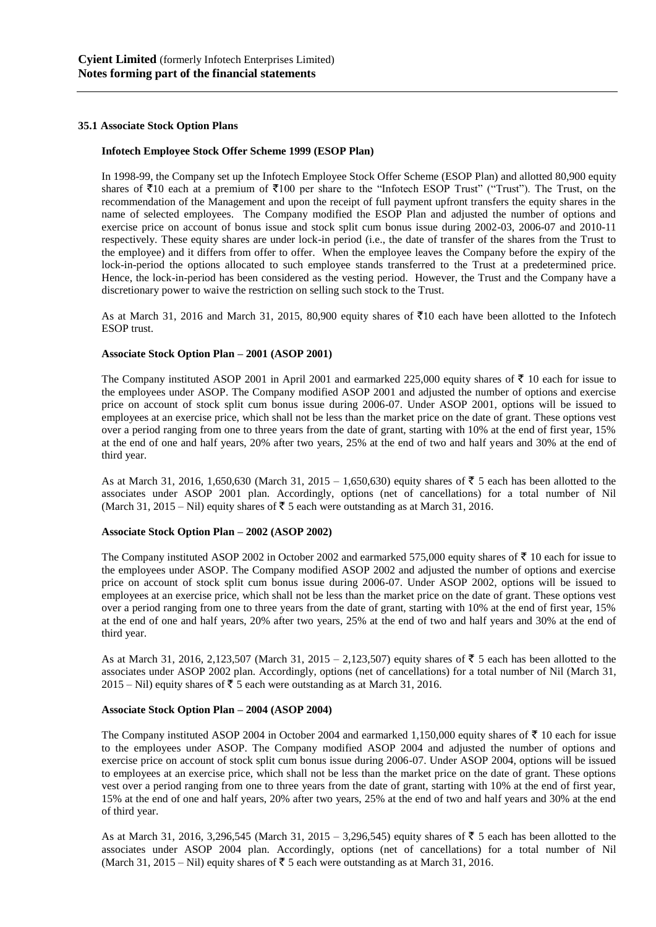## **35.1 Associate Stock Option Plans**

#### **Infotech Employee Stock Offer Scheme 1999 (ESOP Plan)**

In 1998-99, the Company set up the Infotech Employee Stock Offer Scheme (ESOP Plan) and allotted 80,900 equity shares of  $\bar{\xi}10$  each at a premium of  $\bar{\xi}100$  per share to the "Infotech ESOP Trust" ("Trust"). The Trust, on the recommendation of the Management and upon the receipt of full payment upfront transfers the equity shares in the name of selected employees. The Company modified the ESOP Plan and adjusted the number of options and exercise price on account of bonus issue and stock split cum bonus issue during 2002-03, 2006-07 and 2010-11 respectively. These equity shares are under lock-in period (i.e., the date of transfer of the shares from the Trust to the employee) and it differs from offer to offer. When the employee leaves the Company before the expiry of the lock-in-period the options allocated to such employee stands transferred to the Trust at a predetermined price. Hence, the lock-in-period has been considered as the vesting period. However, the Trust and the Company have a discretionary power to waive the restriction on selling such stock to the Trust.

As at March 31, 2016 and March 31, 2015, 80,900 equity shares of  $\bar{z}10$  each have been allotted to the Infotech ESOP trust.

## **Associate Stock Option Plan – 2001 (ASOP 2001)**

The Company instituted ASOP 2001 in April 2001 and earmarked 225,000 equity shares of  $\bar{\tau}$  10 each for issue to the employees under ASOP. The Company modified ASOP 2001 and adjusted the number of options and exercise price on account of stock split cum bonus issue during 2006-07. Under ASOP 2001, options will be issued to employees at an exercise price, which shall not be less than the market price on the date of grant. These options vest over a period ranging from one to three years from the date of grant, starting with 10% at the end of first year, 15% at the end of one and half years, 20% after two years, 25% at the end of two and half years and 30% at the end of third year.

As at March 31, 2016, 1,650,630 (March 31, 2015 – 1,650,630) equity shares of  $\bar{z}$  5 each has been allotted to the associates under ASOP 2001 plan. Accordingly, options (net of cancellations) for a total number of Nil (March 31, 2015 – Nil) equity shares of  $\bar{\tau}$  5 each were outstanding as at March 31, 2016.

#### **Associate Stock Option Plan – 2002 (ASOP 2002)**

The Company instituted ASOP 2002 in October 2002 and earmarked 575,000 equity shares of  $\bar{\tau}$  10 each for issue to the employees under ASOP. The Company modified ASOP 2002 and adjusted the number of options and exercise price on account of stock split cum bonus issue during 2006-07. Under ASOP 2002, options will be issued to employees at an exercise price, which shall not be less than the market price on the date of grant. These options vest over a period ranging from one to three years from the date of grant, starting with 10% at the end of first year, 15% at the end of one and half years, 20% after two years, 25% at the end of two and half years and 30% at the end of third year.

As at March 31, 2016, 2,123,507 (March 31, 2015 – 2,123,507) equity shares of ₹ 5 each has been allotted to the associates under ASOP 2002 plan. Accordingly, options (net of cancellations) for a total number of Nil (March 31,  $2015 -$  Nil) equity shares of  $\overline{5}$  5 each were outstanding as at March 31, 2016.

#### **Associate Stock Option Plan – 2004 (ASOP 2004)**

The Company instituted ASOP 2004 in October 2004 and earmarked 1,150,000 equity shares of  $\bar{\tau}$  10 each for issue to the employees under ASOP. The Company modified ASOP 2004 and adjusted the number of options and exercise price on account of stock split cum bonus issue during 2006-07. Under ASOP 2004, options will be issued to employees at an exercise price, which shall not be less than the market price on the date of grant. These options vest over a period ranging from one to three years from the date of grant, starting with 10% at the end of first year, 15% at the end of one and half years, 20% after two years, 25% at the end of two and half years and 30% at the end of third year.

As at March 31, 2016, 3,296,545 (March 31, 2015 – 3,296,545) equity shares of  $\bar{z}$  5 each has been allotted to the associates under ASOP 2004 plan. Accordingly, options (net of cancellations) for a total number of Nil (March 31, 2015 – Nil) equity shares of  $\bar{\tau}$  5 each were outstanding as at March 31, 2016.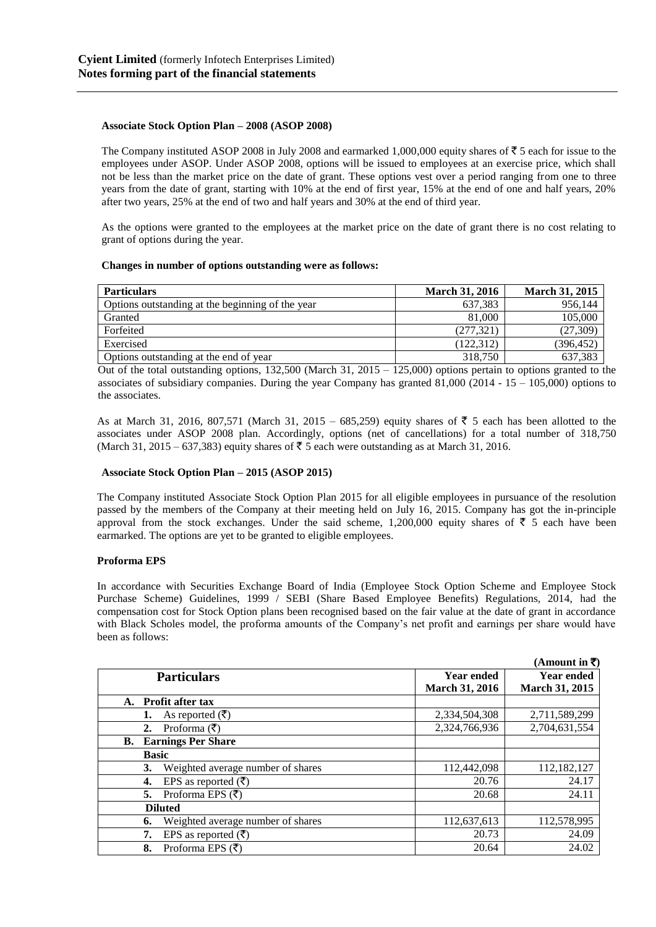## **Associate Stock Option Plan – 2008 (ASOP 2008)**

The Company instituted ASOP 2008 in July 2008 and earmarked 1,000,000 equity shares of  $\bar{\tau}$  5 each for issue to the employees under ASOP. Under ASOP 2008, options will be issued to employees at an exercise price, which shall not be less than the market price on the date of grant. These options vest over a period ranging from one to three years from the date of grant, starting with 10% at the end of first year, 15% at the end of one and half years, 20% after two years, 25% at the end of two and half years and 30% at the end of third year.

As the options were granted to the employees at the market price on the date of grant there is no cost relating to grant of options during the year.

## **Changes in number of options outstanding were as follows:**

| <b>Particulars</b>                               | <b>March 31, 2016</b> | <b>March 31, 2015</b> |
|--------------------------------------------------|-----------------------|-----------------------|
| Options outstanding at the beginning of the year | 637,383               | 956.144               |
| Granted                                          | 81,000                | 105,000               |
| Forfeited                                        | (277, 321)            | (27, 309)             |
| Exercised                                        | (122, 312)            | (396,452)             |
| Options outstanding at the end of year           | 318,750               | 637,383               |

Out of the total outstanding options,  $132,500$  (March 31,  $2015 - 125,000$ ) options pertain to options granted to the associates of subsidiary companies. During the year Company has granted 81,000 (2014 - 15 – 105,000) options to the associates.

As at March 31, 2016, 807,571 (March 31, 2015 – 685,259) equity shares of  $\overline{5}$  5 each has been allotted to the associates under ASOP 2008 plan. Accordingly, options (net of cancellations) for a total number of 318,750 (March 31, 2015 – 637,383) equity shares of  $\overline{\xi}$  5 each were outstanding as at March 31, 2016.

# **Associate Stock Option Plan – 2015 (ASOP 2015)**

The Company instituted Associate Stock Option Plan 2015 for all eligible employees in pursuance of the resolution passed by the members of the Company at their meeting held on July 16, 2015. Company has got the in-principle approval from the stock exchanges. Under the said scheme, 1,200,000 equity shares of  $\overline{\tau}$  5 each have been earmarked. The options are yet to be granted to eligible employees.

# **Proforma EPS**

In accordance with Securities Exchange Board of India (Employee Stock Option Scheme and Employee Stock Purchase Scheme) Guidelines, 1999 / SEBI (Share Based Employee Benefits) Regulations, 2014, had the compensation cost for Stock Option plans been recognised based on the fair value at the date of grant in accordance with Black Scholes model, the proforma amounts of the Company's net profit and earnings per share would have been as follows:

|                                           |                       | (Amount in ₹)         |
|-------------------------------------------|-----------------------|-----------------------|
| <b>Particulars</b>                        | <b>Year ended</b>     | <b>Year ended</b>     |
|                                           | <b>March 31, 2016</b> | <b>March 31, 2015</b> |
| Profit after tax                          |                       |                       |
| As reported $(\bar{\zeta})$               | 2,334,504,308         | 2,711,589,299         |
| Proforma $(\overline{\mathfrak{F}})$      | 2,324,766,936         | 2,704,631,554         |
| <b>Earnings Per Share</b>                 |                       |                       |
| <b>Basic</b>                              |                       |                       |
| Weighted average number of shares         | 112,442,098           | 112,182,127           |
| EPS as reported $(\overline{\zeta})$      | 20.76                 | 24.17                 |
| Proforma EPS $(\overline{\tau})$          | 20.68                 | 24.11                 |
| <b>Diluted</b>                            |                       |                       |
| Weighted average number of shares         | 112,637,613           | 112,578,995           |
| EPS as reported $(\overline{\mathbf{z}})$ | 20.73                 | 24.09                 |
| Proforma EPS $(\bar{\zeta})$              | 20.64                 | 24.02                 |
|                                           |                       |                       |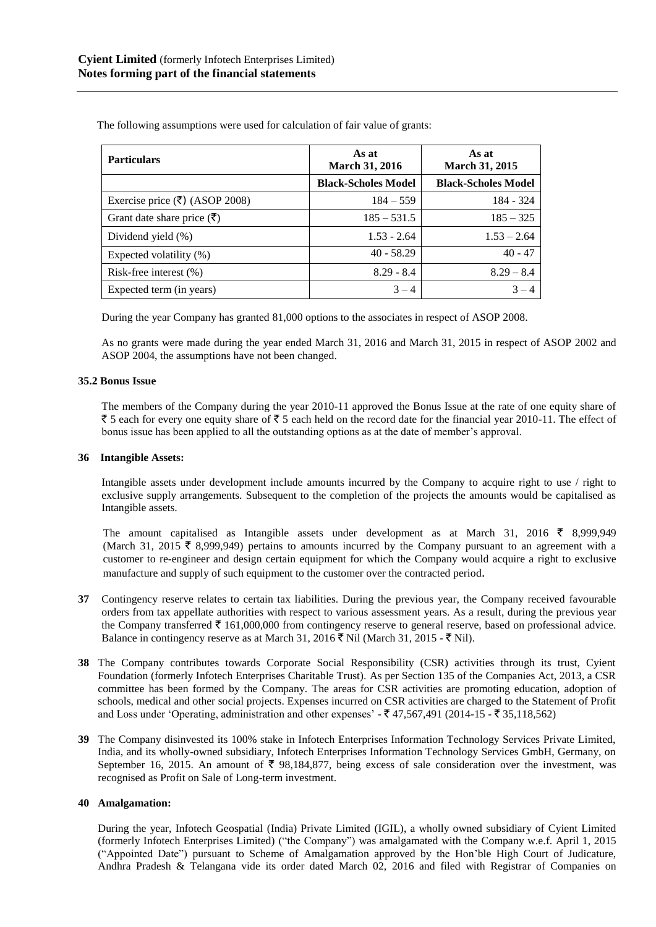| <b>Particulars</b>                                     | As at<br><b>March 31, 2016</b> | As at<br><b>March 31, 2015</b> |
|--------------------------------------------------------|--------------------------------|--------------------------------|
|                                                        | <b>Black-Scholes Model</b>     | <b>Black-Scholes Model</b>     |
| Exercise price $(\overline{\mathbf{\xi}})$ (ASOP 2008) | $184 - 559$                    | 184 - 324                      |
| Grant date share price $(\bar{\zeta})$                 | $185 - 531.5$                  | $185 - 325$                    |
| Dividend yield (%)                                     | $1.53 - 2.64$                  | $1.53 - 2.64$                  |
| Expected volatility (%)                                | $40 - 58.29$                   | $40 - 47$                      |
| Risk-free interest $(\% )$                             | $8.29 - 8.4$                   | $8.29 - 8.4$                   |
| Expected term (in years)                               | $3 - 4$                        | $3 - 4$                        |

The following assumptions were used for calculation of fair value of grants:

During the year Company has granted 81,000 options to the associates in respect of ASOP 2008.

As no grants were made during the year ended March 31, 2016 and March 31, 2015 in respect of ASOP 2002 and ASOP 2004, the assumptions have not been changed.

## **35.2 Bonus Issue**

The members of the Company during the year 2010-11 approved the Bonus Issue at the rate of one equity share of  $\bar{\zeta}$  5 each for every one equity share of  $\bar{\zeta}$  5 each held on the record date for the financial year 2010-11. The effect of bonus issue has been applied to all the outstanding options as at the date of member's approval.

#### **36 Intangible Assets:**

Intangible assets under development include amounts incurred by the Company to acquire right to use / right to exclusive supply arrangements. Subsequent to the completion of the projects the amounts would be capitalised as Intangible assets.

The amount capitalised as Intangible assets under development as at March 31, 2016  $\bar{\xi}$  8,999,949 (March 31, 2015  $\bar{\tau}$  8,999,949) pertains to amounts incurred by the Company pursuant to an agreement with a customer to re-engineer and design certain equipment for which the Company would acquire a right to exclusive manufacture and supply of such equipment to the customer over the contracted period.

- **37** Contingency reserve relates to certain tax liabilities. During the previous year, the Company received favourable orders from tax appellate authorities with respect to various assessment years. As a result, during the previous year the Company transferred  $\bar{\tau}$  161,000,000 from contingency reserve to general reserve, based on professional advice. Balance in contingency reserve as at March 31, 2016  $\bar{\mathcal{F}}$  Nil (March 31, 2015 -  $\bar{\mathcal{F}}$  Nil).
- **38** The Company contributes towards Corporate Social Responsibility (CSR) activities through its trust, Cyient Foundation (formerly Infotech Enterprises Charitable Trust). As per Section 135 of the Companies Act, 2013, a CSR committee has been formed by the Company. The areas for CSR activities are promoting education, adoption of schools, medical and other social projects. Expenses incurred on CSR activities are charged to the Statement of Profit and Loss under 'Operating, administration and other expenses' -  $\overline{(}47,567,491)$  (2014-15 -  $\overline{(}35,118,562)$ )
- **39** The Company disinvested its 100% stake in Infotech Enterprises Information Technology Services Private Limited, India, and its wholly-owned subsidiary, Infotech Enterprises Information Technology Services GmbH, Germany, on September 16, 2015. An amount of  $\bar{\xi}$  98,184,877, being excess of sale consideration over the investment, was recognised as Profit on Sale of Long-term investment.

#### **40 Amalgamation:**

During the year, Infotech Geospatial (India) Private Limited (IGIL), a wholly owned subsidiary of Cyient Limited (formerly Infotech Enterprises Limited) ("the Company") was amalgamated with the Company w.e.f. April 1, 2015 ("Appointed Date") pursuant to Scheme of Amalgamation approved by the Hon'ble High Court of Judicature, Andhra Pradesh & Telangana vide its order dated March 02, 2016 and filed with Registrar of Companies on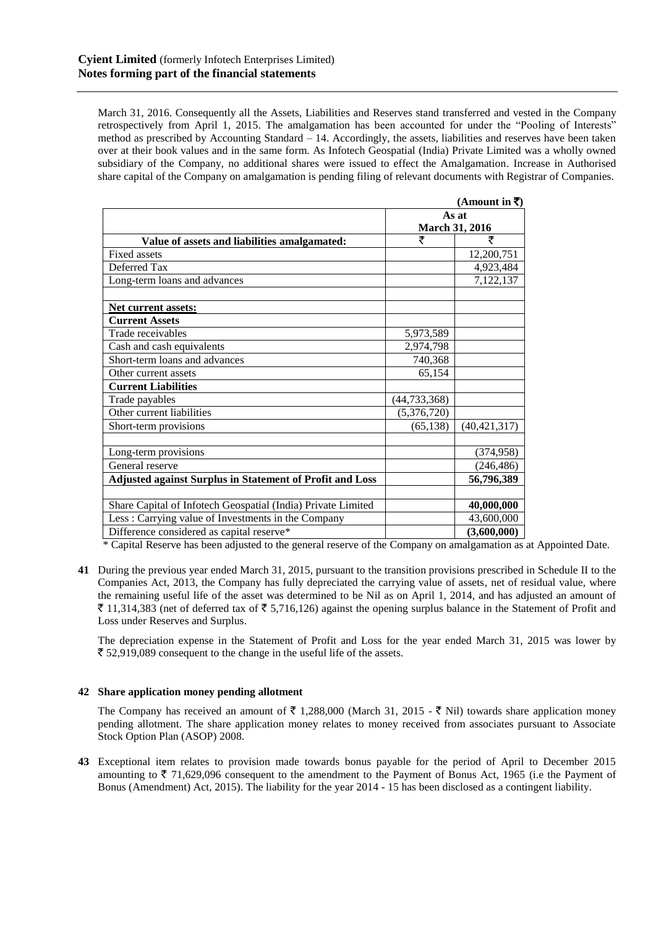March 31, 2016. Consequently all the Assets, Liabilities and Reserves stand transferred and vested in the Company retrospectively from April 1, 2015. The amalgamation has been accounted for under the "Pooling of Interests" method as prescribed by Accounting Standard – 14. Accordingly, the assets, liabilities and reserves have been taken over at their book values and in the same form. As Infotech Geospatial (India) Private Limited was a wholly owned subsidiary of the Company, no additional shares were issued to effect the Amalgamation. Increase in Authorised share capital of the Company on amalgamation is pending filing of relevant documents with Registrar of Companies.

|                                                                 |                | (Amount in ₹)  |
|-----------------------------------------------------------------|----------------|----------------|
|                                                                 | As at          |                |
|                                                                 | March 31, 2016 |                |
| Value of assets and liabilities amalgamated:                    | ₹              | ₹              |
| <b>Fixed assets</b>                                             |                | 12,200,751     |
| Deferred Tax                                                    |                | 4,923,484      |
| Long-term loans and advances                                    |                | 7,122,137      |
|                                                                 |                |                |
| Net current assets:                                             |                |                |
| <b>Current Assets</b>                                           |                |                |
| Trade receivables                                               | 5,973,589      |                |
| Cash and cash equivalents                                       | 2,974,798      |                |
| Short-term loans and advances                                   | 740,368        |                |
| Other current assets                                            | 65,154         |                |
| <b>Current Liabilities</b>                                      |                |                |
| Trade payables                                                  | (44,733,368)   |                |
| Other current liabilities                                       | (5,376,720)    |                |
| Short-term provisions                                           | (65, 138)      | (40, 421, 317) |
|                                                                 |                |                |
| Long-term provisions                                            |                | (374, 958)     |
| General reserve                                                 |                | (246, 486)     |
| <b>Adjusted against Surplus in Statement of Profit and Loss</b> |                | 56,796,389     |
|                                                                 |                |                |
| Share Capital of Infotech Geospatial (India) Private Limited    |                | 40,000,000     |
| Less: Carrying value of Investments in the Company              |                | 43,600,000     |
| Difference considered as capital reserve*                       |                | (3,600,000)    |

\* Capital Reserve has been adjusted to the general reserve of the Company on amalgamation as at Appointed Date.

**41** During the previous year ended March 31, 2015, pursuant to the transition provisions prescribed in Schedule II to the Companies Act, 2013, the Company has fully depreciated the carrying value of assets, net of residual value, where the remaining useful life of the asset was determined to be Nil as on April 1, 2014, and has adjusted an amount of  $\bar{\tau}$  11,314,383 (net of deferred tax of  $\bar{\tau}$  5,716,126) against the opening surplus balance in the Statement of Profit and Loss under Reserves and Surplus.

The depreciation expense in the Statement of Profit and Loss for the year ended March 31, 2015 was lower by  $\bar{\xi}$  52,919,089 consequent to the change in the useful life of the assets.

# **42 Share application money pending allotment**

The Company has received an amount of  $\bar{\tau}$  1,288,000 (March 31, 2015 -  $\bar{\tau}$  Nil) towards share application money pending allotment. The share application money relates to money received from associates pursuant to Associate Stock Option Plan (ASOP) 2008.

**43** Exceptional item relates to provision made towards bonus payable for the period of April to December 2015 amounting to  $\bar{\tau}$  71,629,096 consequent to the amendment to the Payment of Bonus Act, 1965 (i.e the Payment of Bonus (Amendment) Act, 2015). The liability for the year 2014 - 15 has been disclosed as a contingent liability.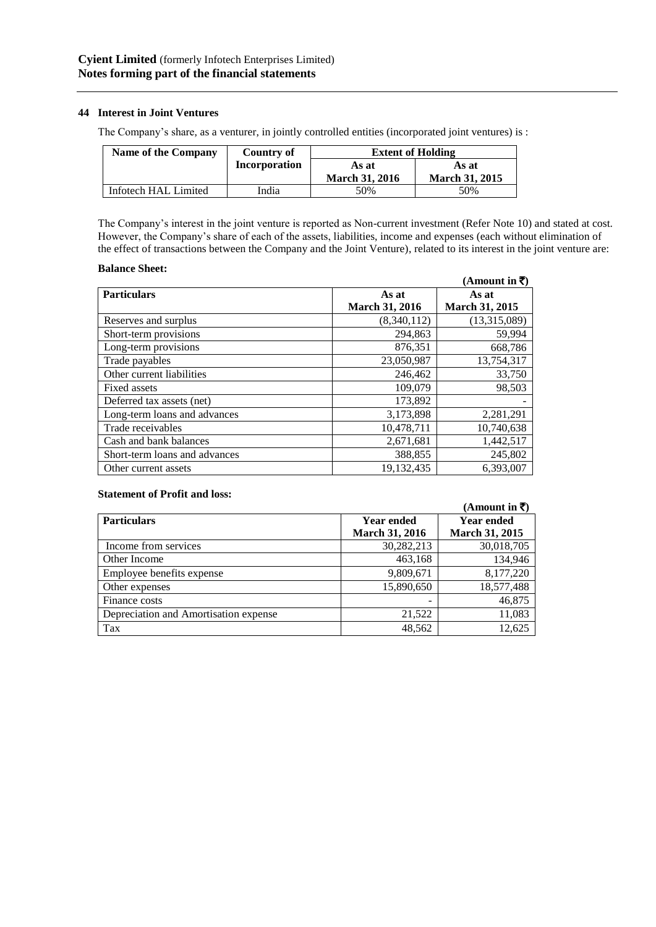## **44 Interest in Joint Ventures**

The Company's share, as a venturer, in jointly controlled entities (incorporated joint ventures) is :

| Name of the Company  | Country of    | <b>Extent of Holding</b> |                       |
|----------------------|---------------|--------------------------|-----------------------|
|                      | Incorporation | As at                    | As at                 |
|                      |               | <b>March 31, 2016</b>    | <b>March 31, 2015</b> |
| Infotech HAL Limited | India         | 50%                      | 50%                   |

The Company's interest in the joint venture is reported as Non-current investment (Refer Note 10) and stated at cost. However, the Company's share of each of the assets, liabilities, income and expenses (each without elimination of the effect of transactions between the Company and the Joint Venture), related to its interest in the joint venture are:

#### **Balance Sheet:**

|                               |                       | $(A$ mount in ₹) |
|-------------------------------|-----------------------|------------------|
| <b>Particulars</b>            | As at                 | As at            |
|                               | <b>March 31, 2016</b> | March 31, 2015   |
| Reserves and surplus          | (8,340,112)           | (13,315,089)     |
| Short-term provisions         | 294,863               | 59,994           |
| Long-term provisions          | 876,351               | 668.786          |
| Trade payables                | 23,050,987            | 13,754,317       |
| Other current liabilities     | 246,462               | 33,750           |
| Fixed assets                  | 109,079               | 98,503           |
| Deferred tax assets (net)     | 173,892               |                  |
| Long-term loans and advances  | 3,173,898             | 2,281,291        |
| Trade receivables             | 10,478,711            | 10,740,638       |
| Cash and bank balances        | 2,671,681             | 1,442,517        |
| Short-term loans and advances | 388,855               | 245,802          |
| Other current assets          | 19,132,435            | 6.393,007        |

#### **Statement of Profit and loss:**

|                                       |                       | $(A$ mount in ₹ $)$   |
|---------------------------------------|-----------------------|-----------------------|
| <b>Particulars</b>                    | <b>Year ended</b>     | <b>Year ended</b>     |
|                                       | <b>March 31, 2016</b> | <b>March 31, 2015</b> |
| Income from services                  | 30,282,213            | 30,018,705            |
| Other Income                          | 463,168               | 134,946               |
| Employee benefits expense             | 9,809,671             | 8,177,220             |
| Other expenses                        | 15,890,650            | 18,577,488            |
| Finance costs                         | $\qquad \qquad$       | 46,875                |
| Depreciation and Amortisation expense | 21,522                | 11,083                |
| Tax                                   | 48,562                | 12,625                |